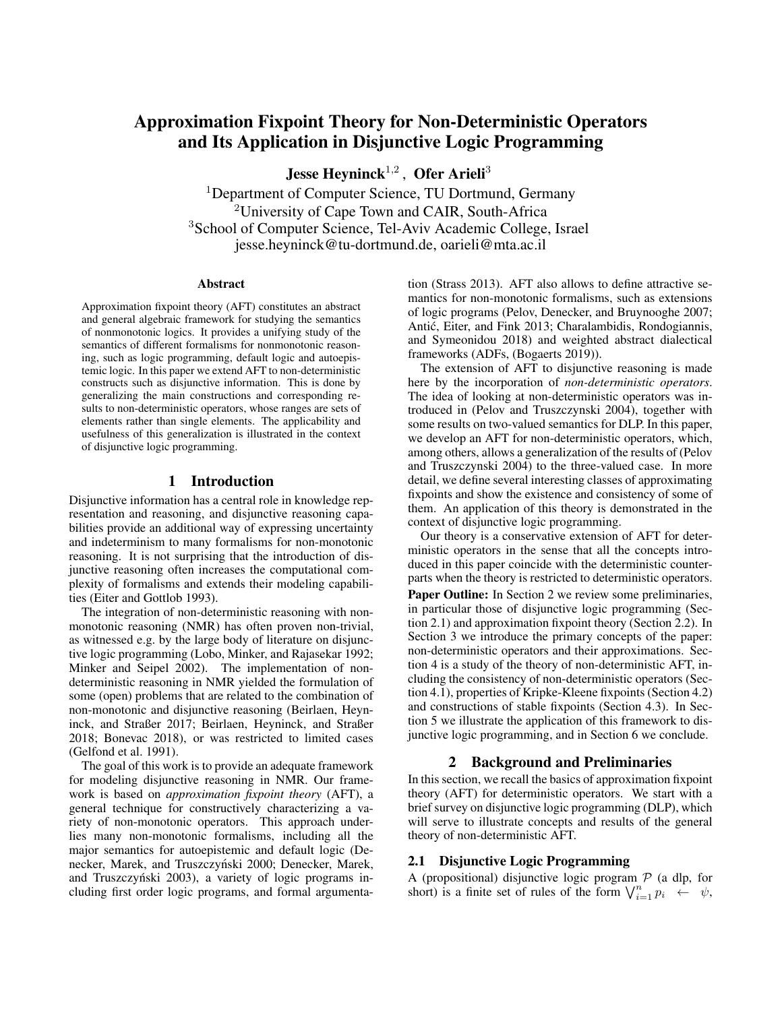# Approximation Fixpoint Theory for Non-Deterministic Operators and Its Application in Disjunctive Logic Programming

Jesse Heyninck $^{1,2}$  , Ofer Arieli $^3$ 

<sup>1</sup>Department of Computer Science, TU Dortmund, Germany <sup>2</sup>University of Cape Town and CAIR, South-Africa <sup>3</sup>School of Computer Science, Tel-Aviv Academic College, Israel jesse.heyninck@tu-dortmund.de, oarieli@mta.ac.il

#### Abstract

Approximation fixpoint theory (AFT) constitutes an abstract and general algebraic framework for studying the semantics of nonmonotonic logics. It provides a unifying study of the semantics of different formalisms for nonmonotonic reasoning, such as logic programming, default logic and autoepistemic logic. In this paper we extend AFT to non-deterministic constructs such as disjunctive information. This is done by generalizing the main constructions and corresponding results to non-deterministic operators, whose ranges are sets of elements rather than single elements. The applicability and usefulness of this generalization is illustrated in the context of disjunctive logic programming.

### 1 Introduction

Disjunctive information has a central role in knowledge representation and reasoning, and disjunctive reasoning capabilities provide an additional way of expressing uncertainty and indeterminism to many formalisms for non-monotonic reasoning. It is not surprising that the introduction of disjunctive reasoning often increases the computational complexity of formalisms and extends their modeling capabilities [\(Eiter and Gottlob 1993\)](#page-9-0).

The integration of non-deterministic reasoning with nonmonotonic reasoning (NMR) has often proven non-trivial, as witnessed e.g. by the large body of literature on disjunctive logic programming [\(Lobo, Minker, and Rajasekar 1992;](#page-9-1) [Minker and Seipel 2002\)](#page-9-2). The implementation of nondeterministic reasoning in NMR yielded the formulation of some (open) problems that are related to the combination of non-monotonic and disjunctive reasoning [\(Beirlaen, Heyn](#page-9-3)[inck, and Straßer 2017;](#page-9-3) [Beirlaen, Heyninck, and Straßer](#page-9-4) [2018;](#page-9-4) [Bonevac 2018\)](#page-9-5), or was restricted to limited cases [\(Gelfond et al. 1991\)](#page-9-6).

The goal of this work is to provide an adequate framework for modeling disjunctive reasoning in NMR. Our framework is based on *approximation fixpoint theory* (AFT), a general technique for constructively characterizing a variety of non-monotonic operators. This approach underlies many non-monotonic formalisms, including all the major semantics for autoepistemic and default logic [\(De-](#page-9-7)necker, Marek, and Truszczyński 2000; [Denecker, Marek,](#page-9-8) and Truszczyński 2003), a variety of logic programs including first order logic programs, and formal argumenta-

tion [\(Strass 2013\)](#page-10-0). AFT also allows to define attractive semantics for non-monotonic formalisms, such as extensions of logic programs [\(Pelov, Denecker, and Bruynooghe 2007;](#page-9-9) [Antic, Eiter, and Fink 2013;](#page-9-10) [Charalambidis, Rondogiannis,](#page-9-11) ´ [and Symeonidou 2018\)](#page-9-11) and weighted abstract dialectical frameworks (ADFs, [\(Bogaerts 2019\)](#page-9-12)).

The extension of AFT to disjunctive reasoning is made here by the incorporation of *non-deterministic operators*. The idea of looking at non-deterministic operators was introduced in [\(Pelov and Truszczynski 2004\)](#page-9-13), together with some results on two-valued semantics for DLP. In this paper, we develop an AFT for non-deterministic operators, which, among others, allows a generalization of the results of [\(Pelov](#page-9-13) [and Truszczynski 2004\)](#page-9-13) to the three-valued case. In more detail, we define several interesting classes of approximating fixpoints and show the existence and consistency of some of them. An application of this theory is demonstrated in the context of disjunctive logic programming.

Our theory is a conservative extension of AFT for deterministic operators in the sense that all the concepts introduced in this paper coincide with the deterministic counterparts when the theory is restricted to deterministic operators.

Paper Outline: In Section [2](#page-0-0) we review some preliminaries, in particular those of disjunctive logic programming (Section [2.1\)](#page-0-1) and approximation fixpoint theory (Section [2.2\)](#page-1-0). In Section [3](#page-2-0) we introduce the primary concepts of the paper: non-deterministic operators and their approximations. Section [4](#page-3-0) is a study of the theory of non-deterministic AFT, including the consistency of non-deterministic operators (Section [4.1\)](#page-3-1), properties of Kripke-Kleene fixpoints (Section [4.2\)](#page-3-2) and constructions of stable fixpoints (Section [4.3\)](#page-5-0). In Section [5](#page-7-0) we illustrate the application of this framework to disjunctive logic programming, and in Section [6](#page-8-0) we conclude.

#### 2 Background and Preliminaries

<span id="page-0-0"></span>In this section, we recall the basics of approximation fixpoint theory (AFT) for deterministic operators. We start with a brief survey on disjunctive logic programming (DLP), which will serve to illustrate concepts and results of the general theory of non-deterministic AFT.

#### <span id="page-0-1"></span>2.1 Disjunctive Logic Programming

A (propositional) disjunctive logic program  $P$  (a dlp, for short) is a finite set of rules of the form  $\bigvee_{i=1}^{n} p_i \leftarrow \psi$ ,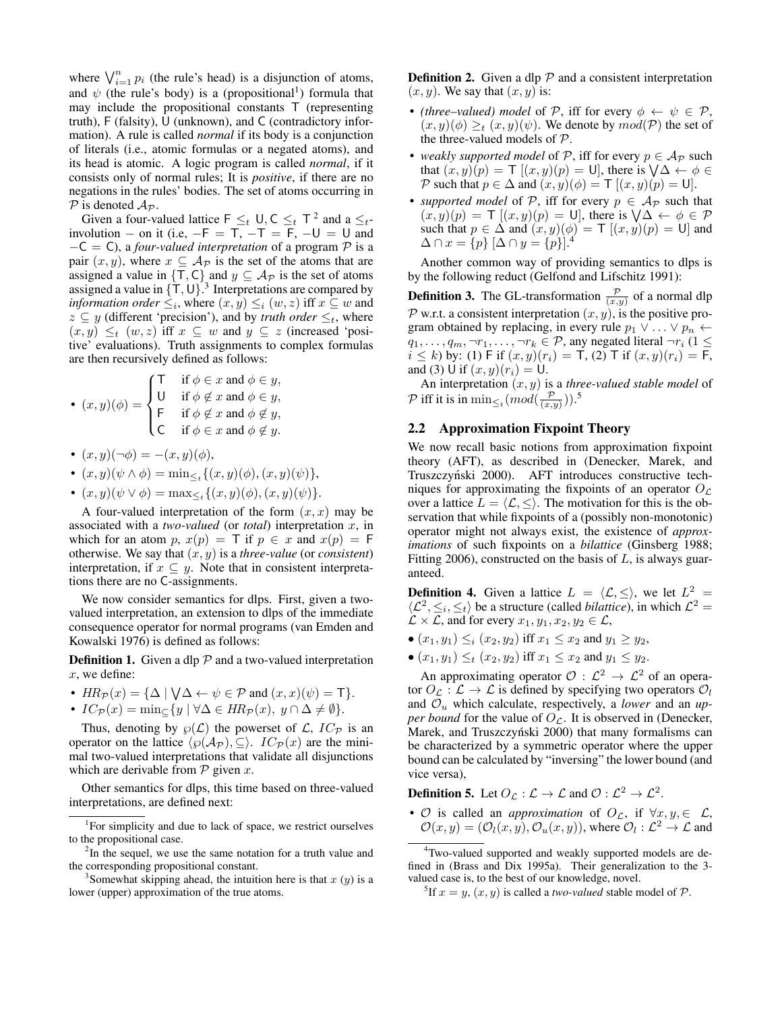where  $\bigvee_{i=1}^{n} p_i$  (the rule's head) is a disjunction of atoms, and  $\psi$  (the rule's body) is a (propositional<sup>[1](#page-1-1)</sup>) formula that may include the propositional constants T (representing truth), F (falsity), U (unknown), and C (contradictory information). A rule is called *normal* if its body is a conjunction of literals (i.e., atomic formulas or a negated atoms), and its head is atomic. A logic program is called *normal*, if it consists only of normal rules; It is *positive*, if there are no negations in the rules' bodies. The set of atoms occurring in  $P$  is denoted  $A_P$ .

Given a four-valued lattice  $\mathsf{F} \leq_t \mathsf{U}, \mathsf{C} \leq_t \mathsf{T}^2$  $\mathsf{F} \leq_t \mathsf{U}, \mathsf{C} \leq_t \mathsf{T}^2$  and a  $\leq_t$ involution – on it (i.e,  $-F = T$ ,  $-T = F$ ,  $-U = U$  and −C = C), a *four-valued interpretation* of a program P is a pair  $(x, y)$ , where  $x \subseteq A_{\mathcal{P}}$  is the set of the atoms that are assigned a value in  $\{\mathsf{T},\mathsf{C}\}$  and  $y \subseteq \mathcal{A}_{\mathcal{P}}$  is the set of atoms assigned a value in  $\{\dot{T}, U\}$ .<sup>[3](#page-1-3)</sup> Interpretations are compared by *information order*  $\leq_i$ , where  $(x, y) \leq_i (w, z)$  iff  $x \subseteq w$  and  $z \subseteq y$  (different 'precision'), and by *truth order*  $\leq_t$ , where  $(x, y) \leq_t (w, z)$  iff  $x \subseteq w$  and  $y \subseteq z$  (increased 'positive' evaluations). Truth assignments to complex formulas are then recursively defined as follows:

• 
$$
(x, y)(\phi) = \begin{cases} \n\begin{cases} \n\begin{cases} \n\begin{cases} \n\begin{cases} \n\begin{cases} \n\begin{cases} \n\end{cases} & \text{if } \phi \in x \text{ and } \phi \in y, \\ \n\end{cases} \\
\begin{cases} \n\begin{cases} \n\begin{cases} \n\begin{cases} \n\end{cases} & \text{if } \phi \notin x \text{ and } \phi \notin y, \\ \n\begin{cases} \n\begin{cases} \n\begin{cases} \n\end{cases} & \text{if } \phi \in x \text{ and } \phi \notin y. \n\end{cases} \n\end{cases} \n\end{cases}
$$

- $(x, y)(\neg \phi) = -(x, y)(\phi),$
- $(x, y)(\psi \wedge \phi) = \min_{\leq t} \{ (x, y)(\phi), (x, y)(\psi) \},\$

• 
$$
(x, y)(\psi \vee \phi) = \max_{\leq t} \{(x, y)(\phi), (x, y)(\psi)\}.
$$

A four-valued interpretation of the form  $(x, x)$  may be associated with a *two-valued* (or *total*) interpretation x, in which for an atom p,  $x(p) = T$  if  $p \in x$  and  $x(p) = F$ otherwise. We say that  $(x, y)$  is a *three-value* (or *consistent*) interpretation, if  $x \subseteq y$ . Note that in consistent interpretations there are no C-assignments.

We now consider semantics for dlps. First, given a twovalued interpretation, an extension to dlps of the immediate consequence operator for normal programs [\(van Emden and](#page-10-1) [Kowalski 1976\)](#page-10-1) is defined as follows:

<span id="page-1-6"></span>**Definition 1.** Given a dlp  $P$  and a two-valued interpretation x, we define:

- $HR_{\mathcal{P}}(x) = {\Delta \mid \bigvee \Delta \leftarrow \psi \in \mathcal{P}} \text{ and } (x, x)(\psi) = \mathsf{T}}.$
- $IC_{\mathcal{P}}(x) = \min_{\sub{f}} \{ y \mid \forall \Delta \in \mathit{HR}_{\mathcal{P}}(x), y \cap \Delta \neq \emptyset \}.$

Thus, denoting by  $\wp(\mathcal{L})$  the powerset of  $\mathcal{L}$ ,  $IC_{\mathcal{P}}$  is an operator on the lattice  $\langle \wp(A_{\mathcal{P}}), \subseteq \rangle$ .  $IC_{\mathcal{P}}(x)$  are the minimal two-valued interpretations that validate all disjunctions which are derivable from  $P$  given x.

Other semantics for dlps, this time based on three-valued interpretations, are defined next:

<span id="page-1-9"></span>**Definition 2.** Given a dlp  $P$  and a consistent interpretation  $(x, y)$ . We say that  $(x, y)$  is:

- *(three–valued)* model of P, iff for every  $\phi \leftarrow \psi \in \mathcal{P}$ ,  $(x, y)(\phi) \geq_t (x, y)(\psi)$ . We denote by  $mod(\mathcal{P})$  the set of the three-valued models of P.
- *weakly supported model* of P, iff for every  $p \in A_{\mathcal{P}}$  such that  $(x, y)(p) = \mathsf{T}[(x, y)(p) = \mathsf{U}]$ , there is  $\mathsf{V}\Delta \leftarrow \phi \in$ P such that  $p \in \Delta$  and  $(x, y)(\phi) = \mathsf{T}[(x, y)(p) = \mathsf{U}].$
- *supported model* of P, iff for every  $p \in A_{\mathcal{P}}$  such that  $(x, y)(p) = \mathsf{T}[(x, y)(p) = \mathsf{U}]$ , there is  $\forall \Delta \leftarrow \phi \in \mathcal{P}$ such that  $p \in \Delta$  and  $(x, y)(\phi) = \mathsf{T} [(x, y)(p) = \mathsf{U}]$  and  $\Delta \cap x = \{p\} [\Delta \cap y = \{p\}]^{4}$  $\Delta \cap x = \{p\} [\Delta \cap y = \{p\}]^{4}$  $\Delta \cap x = \{p\} [\Delta \cap y = \{p\}]^{4}$

Another common way of providing semantics to dlps is by the following reduct [\(Gelfond and Lifschitz 1991\)](#page-9-14):

<span id="page-1-10"></span>**Definition 3.** The GL-transformation  $\frac{\mathcal{P}}{(x,y)}$  of a normal dlp  $P$  w.r.t. a consistent interpretation  $(x, y)$ , is the positive program obtained by replacing, in every rule  $p_1 \vee \ldots \vee p_n \leftarrow$  $q_1, \ldots, q_m, \neg r_1, \ldots, \neg r_k \in \mathcal{P}$ , any negated literal  $\neg r_i$  (1  $\leq$  $i \leq k$ ) by: (1) F if  $(x, y)(r_i) = T$ , (2) T if  $(x, y)(r_i) = F$ , and (3) U if  $(x, y)(r_i) = U$ .

An interpretation (x, y) is a *three-valued stable model* of  $\mathcal P$  iff it is in  $\min_{\leq t} (mod(\frac{\mathcal P}{(x,y)}))$ .<sup>[5](#page-1-5)</sup>

### <span id="page-1-0"></span>2.2 Approximation Fixpoint Theory

We now recall basic notions from approximation fixpoint theory (AFT), as described in [\(Denecker, Marek, and](#page-9-7) Truszczyński 2000). AFT introduces constructive techniques for approximating the fixpoints of an operator  $O_{\mathcal{L}}$ over a lattice  $L = \langle \mathcal{L}, \leq \rangle$ . The motivation for this is the observation that while fixpoints of a (possibly non-monotonic) operator might not always exist, the existence of *approximations* of such fixpoints on a *bilattice* [\(Ginsberg 1988;](#page-9-15) [Fitting 2006\)](#page-9-16), constructed on the basis of  $L$ , is always guaranteed.

<span id="page-1-7"></span>**Definition 4.** Given a lattice  $L = \langle \mathcal{L}, \leq \rangle$ , we let  $L^2 =$  $\langle \mathcal{L}^2, \leq_i, \leq_t \rangle$  be a structure (called *bilattice*), in which  $\mathcal{L}^2$  =  $\mathcal{L} \times \mathcal{L}$ , and for every  $x_1, y_1, x_2, y_2 \in \mathcal{L}$ ,

- $(x_1, y_1) \leq i (x_2, y_2)$  iff  $x_1 \leq x_2$  and  $y_1 \geq y_2$ ,
- $(x_1, y_1) \leq_t (x_2, y_2)$  iff  $x_1 \leq x_2$  and  $y_1 \leq y_2$ .

An approximating operator  $\mathcal{O}: \mathcal{L}^2 \to \mathcal{L}^2$  of an operator  $O_{\mathcal{L}} : \mathcal{L} \to \mathcal{L}$  is defined by specifying two operators  $O_{l}$ and  $\mathcal{O}_u$  which calculate, respectively, a *lower* and an *upper bound* for the value of  $O<sub>L</sub>$ . It is observed in [\(Denecker,](#page-9-7) Marek, and Truszczyński 2000) that many formalisms can be characterized by a symmetric operator where the upper bound can be calculated by "inversing" the lower bound (and vice versa),

<span id="page-1-8"></span>**Definition 5.** Let  $O_{\mathcal{L}} : \mathcal{L} \to \mathcal{L}$  and  $\mathcal{O} : \mathcal{L}^2 \to \mathcal{L}^2$ .

•  $\mathcal O$  is called an *approximation* of  $O_{\mathcal L}$ , if  $\forall x, y \in \mathcal L$ ,  $\mathcal{O}(x,y) = (\mathcal{O}_l(x,y), \mathcal{O}_u(x,y))$ , where  $\mathcal{O}_l : \mathcal{L}^2 \to \mathcal{L}$  and

<span id="page-1-1"></span><sup>&</sup>lt;sup>1</sup>For simplicity and due to lack of space, we restrict ourselves to the propositional case.

<span id="page-1-2"></span> $2$ In the sequel, we use the same notation for a truth value and the corresponding propositional constant.

<span id="page-1-3"></span><sup>&</sup>lt;sup>3</sup>Somewhat skipping ahead, the intuition here is that  $x(y)$  is a lower (upper) approximation of the true atoms.

<span id="page-1-4"></span><sup>4</sup>Two-valued supported and weakly supported models are defined in [\(Brass and Dix 1995a\)](#page-9-17). Their generalization to the 3 valued case is, to the best of our knowledge, novel.

<span id="page-1-5"></span><sup>&</sup>lt;sup>5</sup>If  $x = y$ ,  $(x, y)$  is called a *two-valued* stable model of P.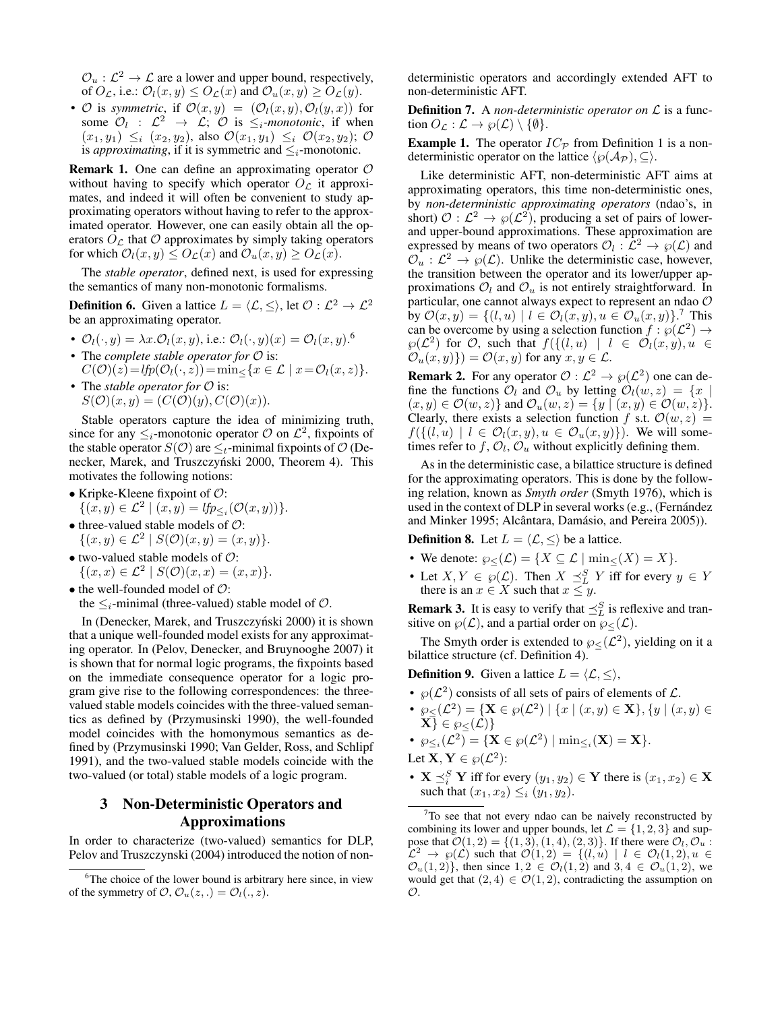$\mathcal{O}_u : \mathcal{L}^2 \to \mathcal{L}$  are a lower and upper bound, respectively, of  $O_{\mathcal{L}}$ , i.e.:  $\mathcal{O}_l(x, y) \leq O_{\mathcal{L}}(x)$  and  $\mathcal{O}_u(x, y) \geq O_{\mathcal{L}}(y)$ .

•  $\mathcal O$  is *symmetric*, if  $\mathcal O(x,y) = (\mathcal O_l(x,y), \mathcal O_l(y,x))$  for some  $\mathcal{O}_l$  :  $\mathcal{L}^2 \rightarrow \mathcal{L}$ ;  $\mathcal{O}$  is  $\leq_i$ -monotonic, if when  $(x_1, y_1) \leq_i (x_2, y_2)$ , also  $\mathcal{O}(x_1, y_1) \leq_i \mathcal{O}(x_2, y_2)$ ;  $\mathcal{O}$ is *approximating*, if it is symmetric and  $\leq_i$ -monotonic.

**Remark 1.** One can define an approximating operator  $\mathcal{O}$ without having to specify which operator  $O<sub>L</sub>$  it approximates, and indeed it will often be convenient to study approximating operators without having to refer to the approximated operator. However, one can easily obtain all the operators  $O<sub>C</sub>$  that  $O$  approximates by simply taking operators for which  $\mathcal{O}_l(x, y) \leq O_{\mathcal{L}}(x)$  and  $\mathcal{O}_u(x, y) \geq O_{\mathcal{L}}(x)$ .

The *stable operator*, defined next, is used for expressing the semantics of many non-monotonic formalisms.

<span id="page-2-4"></span>**Definition 6.** Given a lattice  $L = \langle \mathcal{L}, \leq \rangle$ , let  $\mathcal{O} : \mathcal{L}^2 \to \mathcal{L}^2$ be an approximating operator.

- $\mathcal{O}_l(\cdot, y) = \lambda x.\mathcal{O}_l(x, y)$ , i.e.:  $\mathcal{O}_l(\cdot, y)(x) = \mathcal{O}_l(x, y).$ <sup>[6](#page-2-1)</sup>
- The *complete stable operator for*  $\mathcal O$  is:  $C(\mathcal{O})(z) = lfp(\mathcal{O}_l(\cdot, z)) = \min_{\leq} \{x \in \mathcal{L} \mid x = \mathcal{O}_l(x, z)\}.$
- The *stable operator for*  $\mathcal O$  is:  $S(\mathcal{O})(x, y) = (C(\mathcal{O})(y), C(\mathcal{O})(x)).$

Stable operators capture the idea of minimizing truth, since for any  $\leq_i$ -monotonic operator  $\mathcal O$  on  $\mathcal L^2$ , fixpoints of the stable operator  $S(\mathcal{O})$  are  $\leq_t$ -minimal fixpoints of  $\mathcal{O}$  [\(De](#page-9-7)necker, Marek, and Truszczyński 2000, Theorem 4). This motivates the following notions:

- Kripke-Kleene fixpoint of  $\mathcal{O}$ :  $\{(x, y) \in \mathcal{L}^2 \mid (x, y) = lfp_{\leq i}(\mathcal{O}(x, y))\}.$
- $\bullet$  three-valued stable models of  $\mathcal{O}$ :  $\{(x, y) \in \mathcal{L}^2 \mid S(\mathcal{O})(x, y) = (x, y)\}.$
- two-valued stable models of  $\mathcal{O}$ :  $\{(x, x) \in \mathcal{L}^2 \mid S(\mathcal{O})(x, x) = (x, x)\}.$
- $\bullet$  the well-founded model of  $\mathcal{O}$ :

the  $\leq_i$ -minimal (three-valued) stable model of  $\mathcal{O}$ .

In (Denecker, Marek, and Truszczyński 2000) it is shown that a unique well-founded model exists for any approximating operator. In [\(Pelov, Denecker, and Bruynooghe 2007\)](#page-9-9) it is shown that for normal logic programs, the fixpoints based on the immediate consequence operator for a logic program give rise to the following correspondences: the threevalued stable models coincides with the three-valued semantics as defined by [\(Przymusinski 1990\)](#page-10-2), the well-founded model coincides with the homonymous semantics as defined by [\(Przymusinski 1990;](#page-10-2) [Van Gelder, Ross, and Schlipf](#page-10-3) [1991\)](#page-10-3), and the two-valued stable models coincide with the two-valued (or total) stable models of a logic program.

# <span id="page-2-0"></span>3 Non-Deterministic Operators and Approximations

In order to characterize (two-valued) semantics for DLP, [Pelov and Truszczynski](#page-9-13) [\(2004\)](#page-9-13) introduced the notion of nondeterministic operators and accordingly extended AFT to non-deterministic AFT.

Definition 7. A *non-deterministic operator on* L is a function  $O_{\mathcal{L}} : \mathcal{L} \to \wp(\mathcal{L}) \setminus \{\emptyset\}.$ 

<span id="page-2-3"></span>**Example [1](#page-1-6).** The operator  $IC_{\mathcal{P}}$  from Definition 1 is a nondeterministic operator on the lattice  $\langle \wp(A_{\mathcal{P}}), \subseteq \rangle$ .

Like deterministic AFT, non-deterministic AFT aims at approximating operators, this time non-deterministic ones, by *non-deterministic approximating operators* (ndao's, in short)  $\mathcal{O}: \mathcal{L}^2 \to \wp(\mathcal{L}^2)$ , producing a set of pairs of lowerand upper-bound approximations. These approximation are expressed by means of two operators  $\mathcal{O}_l : \mathcal{L}^2 \to \wp(\mathcal{L})$  and  $\mathcal{O}_u : L^2 \to \wp(\mathcal{L})$ . Unlike the deterministic case, however, the transition between the operator and its lower/upper approximations  $\mathcal{O}_l$  and  $\mathcal{O}_u$  is not entirely straightforward. In particular, one cannot always expect to represent an ndao O by  $\mathcal{O}(x,y) = \{ (l, u) \mid l \in \mathcal{O}_l(x,y), u \in \mathcal{O}_u(x,y) \}$ .<sup>[7](#page-2-2)</sup> This can be overcome by using a selection function  $f : \wp(\mathcal{L}^2) \to$  $\varphi(\mathcal{L}^2)$  for  $\mathcal{O}$ , such that  $f(\{(l, u) \mid l \in \mathcal{O}_l(x, y), u \in$  $\mathcal{O}_u(x, y)$ }) =  $\mathcal{O}(x, y)$  for any  $x, y \in \mathcal{L}$ .

**Remark 2.** For any operator  $\mathcal{O}: L^2 \to \wp(L^2)$  one can define the functions  $\mathcal{O}_l$  and  $\mathcal{O}_u$  by letting  $\mathcal{O}_l(w, z) = \{x \mid$  $(x, y) \in \mathcal{O}(w, z)$  and  $\mathcal{O}_u(w, z) = \{y \mid (x, y) \in \mathcal{O}(w, z)\}.$ Clearly, there exists a selection function f s.t.  $\mathcal{O}(w, z)$  =  $f(\{(l, u) \mid l \in \mathcal{O}_l(x, y), u \in \mathcal{O}_u(x, y)\})$ . We will sometimes refer to  $f$ ,  $\mathcal{O}_l$ ,  $\mathcal{O}_u$  without explicitly defining them.

As in the deterministic case, a bilattice structure is defined for the approximating operators. This is done by the following relation, known as *Smyth order* [\(Smyth 1976\)](#page-10-4), which is used in the context of DLP in several works (e.g., (Fernández [and Minker 1995;](#page-9-18) Alcântara, Damásio, and Pereira 2005)).

<span id="page-2-5"></span>**Definition 8.** Let  $L = \langle \mathcal{L}, \leq \rangle$  be a lattice.

- We denote:  $\wp_{\leq}(\mathcal{L}) = \{X \subseteq \mathcal{L} \mid \min_{\leq} (X) = X\}.$
- Let  $X, Y \in \wp(\mathcal{L})$ . Then  $X \preceq^S_L Y$  iff for every  $y \in Y$ there is an  $x \in X$  such that  $x \leq y$ .

**Remark 3.** It is easy to verify that  $\preceq_L^S$  is reflexive and transitive on  $\wp(\mathcal{L})$ , and a partial order on  $\wp<(\mathcal{L})$ .

The Smyth order is extended to  $\wp_{\leq}(\mathcal{L}^2)$ , yielding on it a bilattice structure (cf. Definition [4\)](#page-1-7).

<span id="page-2-6"></span>**Definition 9.** Given a lattice  $L = \langle \mathcal{L}, \leq \rangle$ ,

- $\wp(\mathcal{L}^2)$  consists of all sets of pairs of elements of  $\mathcal{L}$ .
- $\wp_{\leq}(\mathcal{L}^2) = {\mathbf{X} \in \wp(\mathcal{L}^2) | \{x \mid (x, y) \in \mathbf{X}\}, \{y \mid (x, y) \in \mathbf{X}\}$  $\{\mathbf X\} \in \wp_<( \mathcal L)\}$
- $\wp_{\leq i}(\mathcal{L}^2) = {\mathbf{X} \in \wp(\mathcal{L}^2) | \min_{\leq i}(\mathbf{X}) = \mathbf{X}}.$

Let  $\mathbf{X}, \mathbf{Y} \in \wp(\mathcal{L}^2)$ :

•  $X \preceq_i^S Y$  iff for every  $(y_1, y_2) \in Y$  there is  $(x_1, x_2) \in X$ such that  $(x_1, x_2) \leq i (y_1, y_2)$ .

<span id="page-2-1"></span><sup>&</sup>lt;sup>6</sup>The choice of the lower bound is arbitrary here since, in view of the symmetry of  $\mathcal{O}, \mathcal{O}_u(z, .) = \mathcal{O}_l(., z).$ 

<span id="page-2-2"></span> $7T$ o see that not every ndao can be naively reconstructed by combining its lower and upper bounds, let  $\mathcal{L} = \{1, 2, 3\}$  and suppose that  $\mathcal{O}(1, 2) = \{(1, 3), (1, 4), (2, 3)\}\$ . If there were  $\mathcal{O}_l, \mathcal{O}_u$ :  $\mathcal{L}^2 \to \varphi(\mathcal{L})$  such that  $\mathcal{O}(1,2) = \{(l,u) \mid l \in \mathcal{O}_l(1,2), u \in \mathcal{L}\}$  $\mathcal{O}_u(1,2)$ , then since  $1, 2 \in \mathcal{O}_l(1,2)$  and  $3, 4 \in \mathcal{O}_u(1,2)$ , we would get that  $(2, 4) \in \mathcal{O}(1, 2)$ , contradicting the assumption on  $\mathcal{O}.$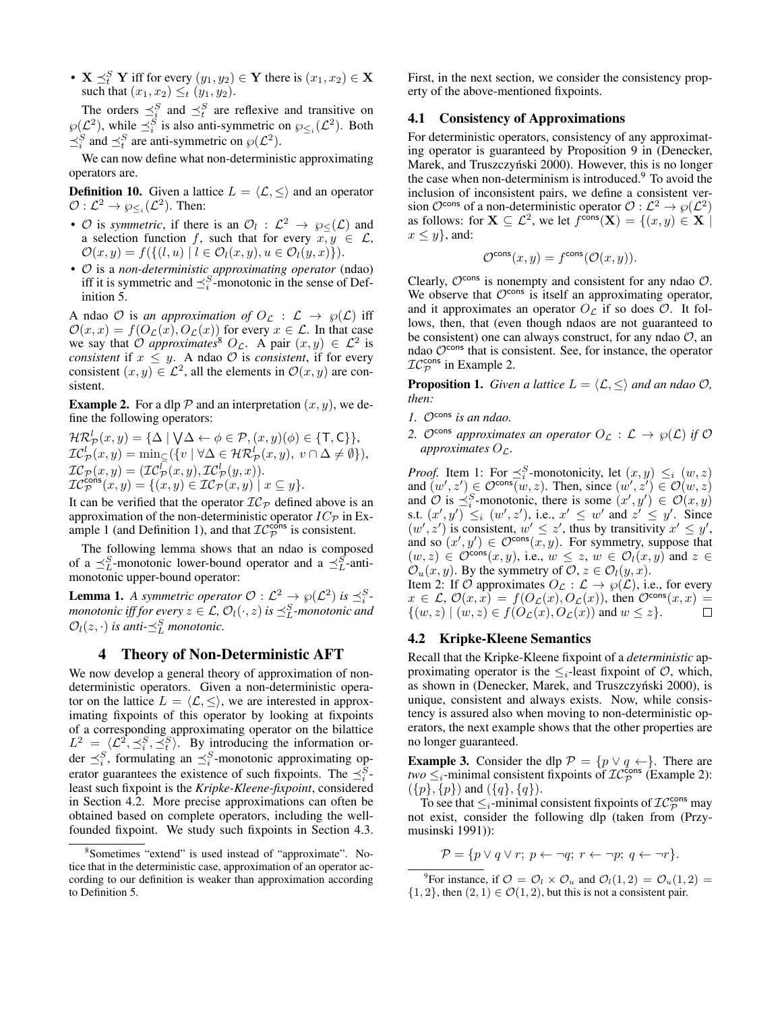•  $X \preceq_t^S Y$  iff for every  $(y_1, y_2) \in Y$  there is  $(x_1, x_2) \in X$ such that  $(x_1, x_2) \leq_t (y_1, y_2)$ .

The orders  $\preceq_i^S$  and  $\preceq_i^S$  are reflexive and transitive on  $\wp(\mathcal{L}^2)$ , while  $\preceq_i^S$  is also anti-symmetric on  $\wp_{\leq_i}(\mathcal{L}^2)$ . Both  $\preceq_i^S$  and  $\preceq_i^S$  are anti-symmetric on  $\wp(\mathcal{L}^2)$ .

We can now define what non-deterministic approximating operators are.

**Definition 10.** Given a lattice  $L = \langle \mathcal{L}, \leq \rangle$  and an operator  $\mathcal{O}: \mathcal{L}^2 \to \wp_{\leq i}(\mathcal{L}^2)$ . Then:

- $\mathcal O$  is *symmetric*, if there is an  $\mathcal O_l$  :  $\mathcal L^2 \to \wp_\leq(\mathcal L)$  and a selection function f, such that for every  $x, y \in \mathcal{L}$ ,  $\mathcal{O}(x, y) = f(\{(l, u) \mid l \in \mathcal{O}_l(x, y), u \in \mathcal{O}_l(y, x)\}).$
- O is a *non-deterministic approximating operator* (ndao) iff it is symmetric and  $\preceq_i^S$ -monotonic in the sense of Definition [5.](#page-1-8)

A ndao  $\mathcal O$  is an approximation of  $O_{\mathcal L}: \mathcal L \to \wp(\mathcal L)$  iff  $\mathcal{O}(x,x) = f(O_{\mathcal{L}}(x), O_{\mathcal{L}}(x))$  for every  $x \in \mathcal{L}$ . In that case we say that  $\hat{\mathcal{O}}$  *approximates*<sup>[8](#page-3-3)</sup>  $O_{\mathcal{L}}$ . A pair  $(x, y) \in \mathcal{L}^2$  is *consistent* if  $x \leq y$ . A ndao  $\mathcal O$  is *consistent*, if for every consistent  $(x, y) \in \mathcal{L}^2$ , all the elements in  $\mathcal{O}(x, y)$  are consistent.

<span id="page-3-5"></span>**Example 2.** For a dlp  $P$  and an interpretation  $(x, y)$ , we define the following operators:

$$
\mathcal{HR}^l_{\mathcal{P}}(x, y) = \{ \Delta \mid \forall \Delta \leftarrow \phi \in \mathcal{P}, (x, y)(\phi) \in \{T, C\} \},
$$
  
\n
$$
\mathcal{IC}^l_{\mathcal{P}}(x, y) = \min_{\subseteq} (\{v \mid \forall \Delta \in \mathcal{HR}^l_{\mathcal{P}}(x, y), v \cap \Delta \neq \emptyset \}),
$$
  
\n
$$
\mathcal{IC}_{\mathcal{P}}(x, y) = (\mathcal{IC}^l_{\mathcal{P}}(x, y), \mathcal{IC}^l_{\mathcal{P}}(y, x)).
$$
  
\n
$$
\mathcal{IC}^{\text{cons}}_{\mathcal{P}}(x, y) = \{(x, y) \in \mathcal{IC}_{\mathcal{P}}(x, y) \mid x \subseteq y \}.
$$

It can be verified that the operator  $IC_{\mathcal{P}}$  defined above is an approximation of the non-deterministic operator  $IC_{\mathcal{P}}$  in Ex-ample [1](#page-2-3) (and Definition [1\)](#page-1-6), and that  $TC^{\text{cons}}_{\mathcal{P}}$  is consistent.

The following lemma shows that an ndao is composed of a  $\preceq_L^S$ -monotonic lower-bound operator and a  $\preceq_L^S$ -antimonotonic upper-bound operator:

<span id="page-3-6"></span>**Lemma 1.** A symmetric operator  $\mathcal{O}: L^2 \to \wp(L^2)$  is  $\preceq_i^S$ . *monotonic iff for every*  $z \in \mathcal{L}$ *,*  $\mathcal{O}_l(\cdot, z)$  *is*  $\preceq^S_L$ *-monotonic and*  $\mathcal{O}_l(z, \cdot)$  *is anti-* $\preceq_L^S$  *monotonic.* 

### 4 Theory of Non-Deterministic AFT

<span id="page-3-0"></span>We now develop a general theory of approximation of nondeterministic operators. Given a non-deterministic operator on the lattice  $L = \langle \mathcal{L}, \leq \rangle$ , we are interested in approximating fixpoints of this operator by looking at fixpoints of a corresponding approximating operator on the bilattice  $L^2 = \langle \mathcal{L}^2, \preceq_i^S, \preceq_i^S \rangle$ . By introducing the information order  $\preceq_i^S$ , formulating an  $\preceq_i^S$ -monotonic approximating operator guarantees the existence of such fixpoints. The  $\preceq_i^S$ least such fixpoint is the *Kripke-Kleene-fixpoint*, considered in Section [4.2.](#page-3-2) More precise approximations can often be obtained based on complete operators, including the wellfounded fixpoint. We study such fixpoints in Section [4.3.](#page-5-0) First, in the next section, we consider the consistency property of the above-mentioned fixpoints.

### <span id="page-3-1"></span>4.1 Consistency of Approximations

For deterministic operators, consistency of any approximating operator is guaranteed by Proposition 9 in [\(Denecker,](#page-9-7) Marek, and Truszczyński 2000). However, this is no longer the case when non-determinism is introduced.<sup>[9](#page-3-4)</sup> To avoid the inclusion of inconsistent pairs, we define a consistent version  $\mathcal{O}^{\text{cons}}$  of a non-deterministic operator  $\mathcal{O} : \mathcal{L}^2 \to \wp(\mathcal{L}^2)$ as follows: for  $\mathbf{X} \subseteq \mathcal{L}^2$ , we let  $f^{\text{cons}}(\mathbf{X}) = \{(x, y) \in \mathbf{X} \mid \mathbf{X}\}$  $x \leq y$ , and:

$$
\mathcal{O}^{\text{cons}}(x,y) = f^{\text{cons}}(\mathcal{O}(x,y)).
$$

Clearly,  $\mathcal{O}^{\text{cons}}$  is nonempty and consistent for any ndao  $\mathcal{O}$ . We observe that  $\mathcal{O}^{\text{cons}}$  is itself an approximating operator, and it approximates an operator  $O_{\mathcal{L}}$  if so does  $\mathcal{O}$ . It follows, then, that (even though ndaos are not guaranteed to be consistent) one can always construct, for any ndao  $O$ , an ndao  $\mathcal{O}^{\text{cons}}$  that is consistent. See, for instance, the operator  $TC^{\text{cons}}_{\mathcal{P}}$  in Example [2.](#page-3-5)

**Proposition 1.** *Given a lattice*  $L = \langle \mathcal{L}, \leq \rangle$  *and an ndao*  $\mathcal{O}$ *, then:*

- *1.* Ocons *is an ndao.*
- 2. Ocons approximates an operator  $O_{\mathcal{L}} : \mathcal{L} \to \wp(\mathcal{L})$  if O *approximates*  $O_{\mathcal{L}}$ *.*

*Proof.* Item 1: For  $\preceq_i^S$ -monotonicity, let  $(x, y) \leq_i (w, z)$ and  $(w', z') \in \mathcal{O}^{\text{cons}}(w, z)$ . Then, since  $(w', z') \in \mathcal{O}(w, z)$ and  $O$  is  $\preceq_i^S$ -monotonic, there is some  $(x', y') \in O(x, y)$ s.t.  $(x', y') \leq_i (w', z')$ , i.e.,  $x' \leq w'$  and  $z' \leq y'$ . Since  $(w', z')$  is consistent,  $w' \leq z'$ , thus by transitivity  $x' \leq y'$ , and so  $(x', y') \in \mathcal{O}^{\text{cons}}(x, y)$ . For symmetry, suppose that  $(w, z) \in \mathcal{O}^{\text{cons}}(x, y)$ , i.e.,  $w \leq z$ ,  $w \in \mathcal{O}_l(x, y)$  and  $z \in$  $\mathcal{O}_u(x, y)$ . By the symmetry of  $\mathcal{O}_v(z) \in \mathcal{O}_l(y, x)$ .

Item 2: If O approximates  $O_{\mathcal{L}} : \mathcal{L} \to \wp(\mathcal{L})$ , i.e., for every  $x \in \mathcal{L}$ ,  $\mathcal{O}(x, x) = f(O_{\mathcal{L}}(x), O_{\mathcal{L}}(x))$ , then  $\mathcal{O}^{\text{cons}}(x, x) =$ <br> $\{(w, z) \mid (w, z) \in f(O_{\mathcal{L}}(x), O_{\mathcal{L}}(x)) \text{ and } w \leq z\}.$  $\{(w, z) | (w, z) \in f(O_{\mathcal{L}}(x), O_{\mathcal{L}}(x)) \text{ and } w \leq z\}.$ 

### <span id="page-3-2"></span>4.2 Kripke-Kleene Semantics

Recall that the Kripke-Kleene fixpoint of a *deterministic* approximating operator is the  $\leq_i$ -least fixpoint of  $\mathcal{O}$ , which, as shown in (Denecker, Marek, and Truszczyński 2000), is unique, consistent and always exists. Now, while consistency is assured also when moving to non-deterministic operators, the next example shows that the other properties are no longer guaranteed.

<span id="page-3-7"></span>**Example 3.** Consider the dlp  $\mathcal{P} = \{p \lor q \leftarrow\}$ . There are *two*  $\leq_i$ -minimal consistent fixpoints of  $IC_{\mathcal{P}}^{\text{cons}}$  (Example [2\)](#page-3-5):  $({p}, {p})$  and  $({q}, {q}).$ 

To see that  $\leq_i$ -minimal consistent fixpoints of  $\mathcal{IC}_{\mathcal{P}}^{\text{cons}}$  may not exist, consider the following dlp (taken from [\(Przy](#page-10-5)[musinski 1991\)](#page-10-5)):

$$
\mathcal{P} = \{ p \lor q \lor r; \ p \leftarrow \neg q; \ r \leftarrow \neg p; \ q \leftarrow \neg r \}.
$$

<span id="page-3-4"></span><sup>9</sup>For instance, if  $\mathcal{O} = \mathcal{O}_l \times \mathcal{O}_u$  and  $\mathcal{O}_l(1, 2) = \mathcal{O}_u(1, 2)$  $\{1, 2\}$ , then  $(2, 1) \in \mathcal{O}(1, 2)$ , but this is not a consistent pair.

<span id="page-3-3"></span><sup>8</sup> Sometimes "extend" is used instead of "approximate". Notice that in the deterministic case, approximation of an operator according to our definition is weaker than approximation according to Definition [5.](#page-1-8)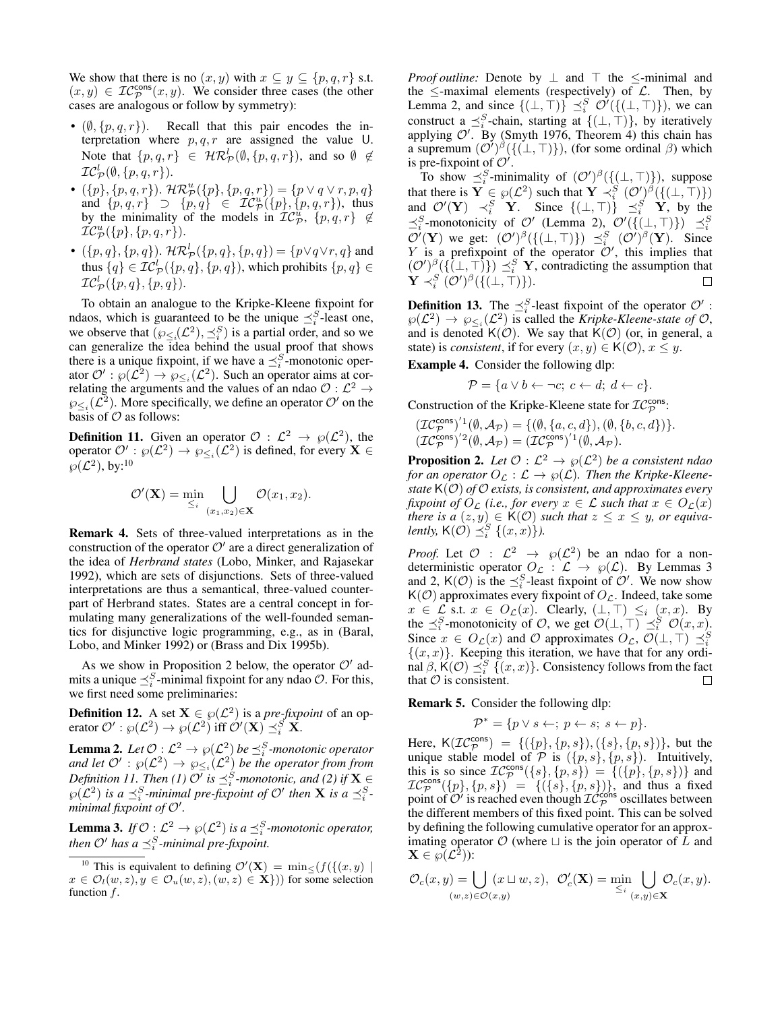We show that there is no  $(x, y)$  with  $x \subseteq y \subseteq \{p, q, r\}$  s.t.  $(x, y) \in \mathcal{IC}_{\mathcal{P}}^{\text{cons}}(x, y)$ . We consider three cases (the other cases are analogous or follow by symmetry):

- $(\emptyset, \{p, q, r\})$ . Recall that this pair encodes the interpretation where  $p, q, r$  are assigned the value U. Note that  $\{p,q,r\} \in \mathcal{HR}_{\mathcal{P}}^l(\emptyset,\{p,q,r\})$ , and so  $\emptyset \notin$  $\mathcal{IC}_{\mathcal{P}}^l(\emptyset,\{p,q,r\}).$
- $({p}, {p}, {q}, {r})$ .  $\mathcal{HR}_{\mathcal{P}}^{u}({p}, {p}, {q}, {r}) = {p \lor q \lor r}, p, q$ and  $\{p,q,r\}$   $\supset \{p,q\}$   $\in \mathcal{IC}_{\mathcal{P}}^{u}(\{p\},\{p,q,r\})$ , thus by the minimality of the models in  $TC_{\mathcal{P}}^{u}$ ,  $\{p,q,r\} \notin$  $\dot{\mathcal{IC}}^u_{\cal P}(\{p\},\{p,q,r\}).$
- $(\{p, q\}, \{p, q\})$ .  $\mathcal{HR}_{\mathcal{P}}^l(\{p, q\}, \{p, q\}) = \{p \lor q \lor r, q\}$  and thus  $\{q\} \in \mathcal{IC}_{\mathcal{P}}^l(\{p,q\},\{p,q\})$ , which prohibits  $\{p,q\} \in$  $\mathcal{IC}_{\mathcal{P}}^l(\{p,q\},\{p,q\}).$

To obtain an analogue to the Kripke-Kleene fixpoint for ndaos, which is guaranteed to be the unique  $\preceq_i^S$ -least one, we observe that  $(\wp_{\leq i}(\mathcal{L}^2), \preceq_i^S)$  is a partial order, and so we can generalize the idea behind the usual proof that shows there is a unique fixpoint, if we have a  $\preceq_i^S$ -monotonic operator  $\mathcal{O}' : \wp(\mathcal{L}^2) \to \wp_{\leq i}(\mathcal{L}^2)$ . Such an operator aims at correlating the arguments and the values of an ndao  $\mathcal{O}: \mathcal{L}^2 \to$  $\wp_{\leq i}(\mathcal{L}^2)$ . More specifically, we define an operator  $\mathcal{O}'$  on the basis of  $\mathcal O$  as follows:

<span id="page-4-2"></span>**Definition 11.** Given an operator  $\mathcal{O}: L^2 \to \wp(L^2)$ , the operator  $\mathcal{O}' : \wp(\mathcal{L}^2) \to \wp_{\leq_i}(\mathcal{L}^2)$  is defined, for every  $\mathbf{X} \in$  $\wp({\cal L}^2)$ , by:<sup>[10](#page-4-0)</sup>

$$
\mathcal{O}'(\mathbf{X}) = \min_{\leq i} \bigcup_{(x_1,x_2) \in \mathbf{X}} \mathcal{O}(x_1,x_2).
$$

Remark 4. Sets of three-valued interpretations as in the construction of the operator  $\mathcal{O}'$  are a direct generalization of the idea of *Herbrand states* [\(Lobo, Minker, and Rajasekar](#page-9-1) [1992\)](#page-9-1), which are sets of disjunctions. Sets of three-valued interpretations are thus a semantical, three-valued counterpart of Herbrand states. States are a central concept in formulating many generalizations of the well-founded semantics for disjunctive logic programming, e.g., as in [\(Baral,](#page-9-20) [Lobo, and Minker 1992\)](#page-9-20) or [\(Brass and Dix 1995b\)](#page-9-21).

As we show in Proposition [2](#page-4-1) below, the operator  $O'$  admits a unique  $\preceq_i^S$ -minimal fixpoint for any ndao  $\mathcal{O}$ . For this, we first need some preliminaries:

**Definition 12.** A set  $X \in \wp(\mathcal{L}^2)$  is a *pre-fixpoint* of an operator  $\mathcal{O}' : \wp(\mathcal{L}^2) \to \wp(\mathcal{L}^2)$  iff  $\mathcal{O}'(\mathbf{X}) \preceq_i^S \mathbf{X}$ .

<span id="page-4-3"></span>**Lemma 2.** Let  $\mathcal{O}: \mathcal{L}^2 \to \wp(\mathcal{L}^2)$  be  $\preceq_i^S$ -monotonic operator and let  $\mathcal{O}'$  :  $\wp(\mathcal{L}^2) \to \wp_{\leq_i}(\mathcal{L}^2)$  be the operator from from *Definition [11.](#page-4-2) Then (1)*  $O'$  *is*  $\preceq_i^S$ -monotonic, and (2) if  $X \in$  $\wp(\mathcal{L}^2)$  is a  $\preceq_i^S$ -minimal pre-fixpoint of  $\mathcal{O}'$  then **X** is a  $\preceq_i^S$  $m$ *inimal fixpoint of*  $O'$ *.* 

<span id="page-4-4"></span>**Lemma 3.** If  $\mathcal{O}: L^2 \to \wp(L^2)$  is a  $\preceq_i^S$ -monotonic operator, *then*  $\mathcal{O}'$  has a  $\preceq_i^S$ -minimal pre-fixpoint.

<span id="page-4-0"></span><sup>10</sup> This is equivalent to defining  $\mathcal{O}'(\mathbf{X}) = \min_{\leq} \{f(\{(x, y) \mid \mathbf{X})\}$  $x \in \mathcal{O}_l(w, z), y \in \mathcal{O}_u(w, z), (w, z) \in \mathbf{X}$ )) for some selection function  $f$ .

*Proof outline:* Denote by  $\perp$  and  $\top$  the  $\le$ -minimal and the  $\le$ -maximal elements (respectively) of  $\mathcal{L}$ . Then, by Lemma [2,](#page-4-3) and since  ${(\perp, \top)} \leq_i^S \mathcal{O}'({(\perp, \top)})$ , we can construct a  $\preceq_i^S$ -chain, starting at  $\{(\bot, \top)\}\$ , by iteratively applying  $\mathcal{O}'$ . By [\(Smyth 1976,](#page-10-4) Theorem 4) this chain has a supremum  $(\mathcal{O}')^{\beta}(\{(\bot, \top)\})$ , (for some ordinal  $\beta$ ) which is pre-fixpoint of  $\mathcal{O}'$ .

To show  $\preceq_i^S$ -minimality of  $(\mathcal{O}')^{\beta}(\{\bot, \top\})$ , suppose that there is  $\mathbf{Y} \in \wp(\mathcal{L}^2)$  such that  $\mathbf{Y} \prec_i^S (\mathcal{O}')^{\beta}(\{(\bot, \top)\})$ and  $\mathcal{O}'(\mathbf{Y}) \prec_i^S \mathbf{Y}$ . Since  $\{(\perp, \top)\} \preceq_i^S \mathbf{Y}$ , by the  $\preceq_i^S$ -monotonicity of  $\mathcal{O}'$  (Lemma [2\)](#page-4-3),  $\mathcal{O}'(\{(\bot,\top)\}) \preceq_i^S$  $\mathcal{O}'(\mathbf{Y})$  we get:  $(\mathcal{O}')^{\beta}(\{(\bot,\top)\}) \preceq_i^S (\mathcal{O}')^{\beta}(\mathbf{Y})$ . Since Y is a prefixpoint of the operator  $O'$ , this implies that  $({\cal O}')^{\beta}(\{(\bot, \top)\}) \preceq^S_i Y$ , contradicting the assumption that  $\mathbf{Y} \prec_i^S (\mathcal{O}')^{\beta}(\{(\bot,\top)\}).$  $\Box$ 

**Definition 13.** The  $\preceq_i^S$ -least fixpoint of the operator  $\mathcal{O}'$ :  $\wp(\mathcal{L}^2) \to \wp_{\leq i}(\mathcal{L}^2)$  is called the *Kripke-Kleene-state of O*, and is denoted  $K(\mathcal{O})$ . We say that  $K(\mathcal{O})$  (or, in general, a state) is *consistent*, if for every  $(x, y) \in K(\mathcal{O}), x \leq y$ .

<span id="page-4-5"></span>Example 4. Consider the following dlp:

$$
\mathcal{P} = \{a \lor b \leftarrow \neg c; \ c \leftarrow d; \ d \leftarrow c\}.
$$

Construction of the Kripke-Kleene state for  $TC^{\text{cons}}_{\mathcal{P}}$ :

$$
(\mathcal{IC}_{\mathcal{P}}^{\text{cons}})^{'1}(\emptyset, \mathcal{A}_{\mathcal{P}}) = \{(\emptyset, \{a, c, d\}), (\emptyset, \{b, c, d\})\}.
$$
  

$$
(\mathcal{IC}_{\mathcal{P}}^{\text{cons}})^{'2}(\emptyset, \mathcal{A}_{\mathcal{P}}) = (\mathcal{IC}_{\mathcal{P}}^{\text{cons}})^{'1}(\emptyset, \mathcal{A}_{\mathcal{P}}).
$$

<span id="page-4-1"></span>**Proposition 2.** Let  $\mathcal{O}: L^2 \to \wp(L^2)$  be a consistent ndao *for an operator*  $O_{\mathcal{L}} : \mathcal{L} \to \wp(\mathcal{L})$ *. Then the Kripke-Kleenestate* K(O) *of* O *exists, is consistent, and approximates every fixpoint of*  $O_{\mathcal{L}}$  (*i.e., for every*  $x \in \mathcal{L}$  *such that*  $x \in O_{\mathcal{L}}(x)$ *there is a*  $(z, y) \in K(\mathcal{O})$  *such that*  $z \leq x \leq y$ *, or equivalently,*  $K(\mathcal{O}) \preceq_i^S \{(x,x)\}.$ 

*Proof.* Let  $\mathcal{O}$  :  $\mathcal{L}^2 \rightarrow \varphi(\mathcal{L}^2)$  be an ndao for a nondeterministic operator  $O_{\mathcal{L}} : \mathcal{L} \to \wp(\mathcal{L})$ . By Lemmas [3](#page-4-4) and [2,](#page-4-3)  $K(\mathcal{O})$  is the  $\preceq_i^S$ -least fixpoint of  $\mathcal{O}'$ . We now show  $K(\mathcal{O})$  approximates every fixpoint of  $O_{\mathcal{L}}$ . Indeed, take some  $x \in \mathcal{L}$  s.t.  $x \in O_{\mathcal{L}}(x)$ . Clearly,  $(\perp, \perp) \leq_i (x, x)$ . By the  $\preceq_i^S$ -monotonicity of  $\mathcal{O}$ , we get  $\mathcal{O}(\bot, \top) \preceq_i^S \mathcal{O}(x, x)$ . Since  $x \in O_{\mathcal{L}}(x)$  and  $\mathcal O$  approximates  $O_{\mathcal{L}}, \mathcal{O}(\perp, \top) \preceq_i^S$  $\{(x, x)\}\$ . Keeping this iteration, we have that for any ordinal  $\beta$ ,  $\mathsf{K}(\mathcal{O}) \preceq_i^S \{ (x,x) \}.$  Consistency follows from the fact that  $\mathcal O$  is consistent.  $\Box$ 

Remark 5. Consider the following dlp:

$$
\mathcal{P}^* = \{ p \lor s \leftarrow; \ p \leftarrow s; \ s \leftarrow p \}.
$$

Here,  $\mathsf{K}(\mathcal{IC}_{\mathcal{P}}^{\text{cons}}) = \{(\{p\}, \{p, s\}), (\{s\}, \{p, s\})\},\$  but the unique stable model of  $P$  is  $({p, s}, {p, s})$ . Intuitively, this is so since  $IC_{\mathcal{P}}^{\text{cons}}(\{s\}, \{p, s\}) = \{ (\{p\}, \{p, s\}) \}$  and  $IC_{\mathcal{P}}^{\text{cons}}(\lbrace p \rbrace, \lbrace p, s \rbrace) = \lbrace (\lbrace s \rbrace, \lbrace p, s \rbrace) \rbrace$ , and thus a fixed point of  $\mathcal{O}'$  is reached even though  $\mathcal{IC}_{\mathcal{P}}^{\text{cons}}$  oscillates between the different members of this fixed point. This can be solved by defining the following cumulative operator for an approximating operator  $O$  (where  $\sqcup$  is the join operator of L and  $\mathbf{X} \in \widetilde{\wp}(\mathcal{L}^{\tilde{2}})$ ):

$$
\mathcal{O}_c(x,y) = \bigcup_{(w,z)\in\mathcal{O}(x,y)} (x\sqcup w,z), \ \ \mathcal{O}'_c(\mathbf{X}) = \min_{\leq_i} \bigcup_{(x,y)\in\mathbf{X}} \mathcal{O}_c(x,y).
$$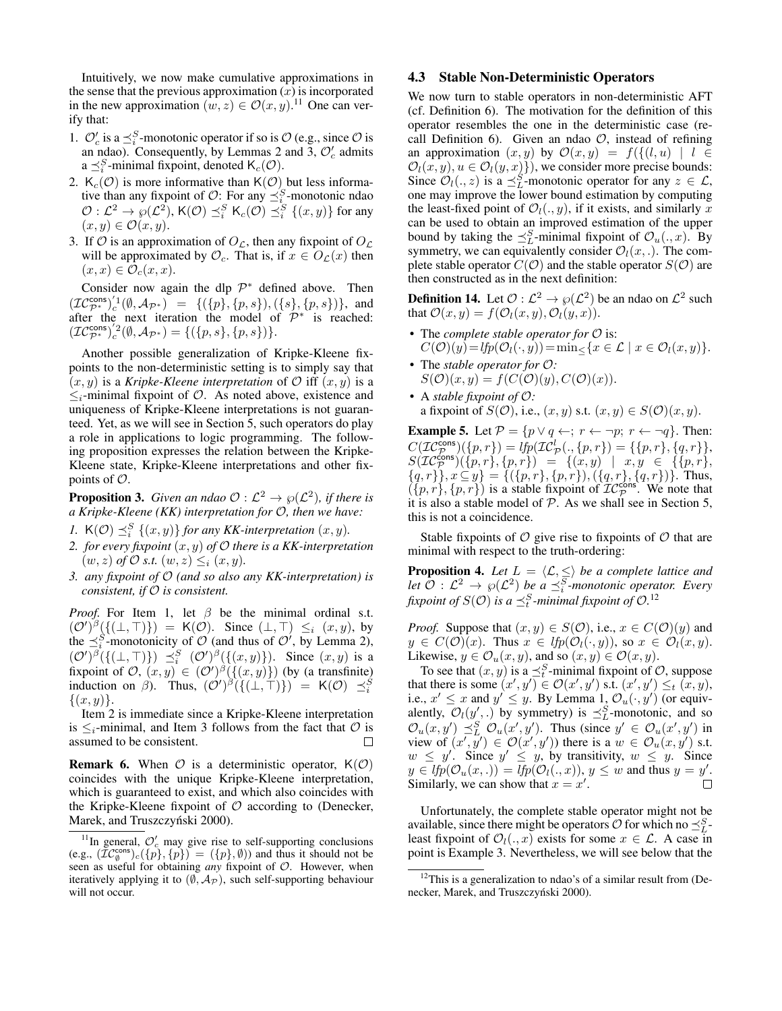Intuitively, we now make cumulative approximations in the sense that the previous approximation  $(x)$  is incorporated in the new approximation  $(w, z) \in \mathcal{O}(x, y)$ .<sup>[11](#page-5-1)</sup> One can verify that:

- 1.  $\mathcal{O}'_c$  is a  $\preceq_i^S$ -monotonic operator if so is  $\mathcal{O}$  (e.g., since  $\mathcal{O}$  is an ndao). Consequently, by Lemmas [2](#page-4-3) and [3,](#page-4-4)  $\mathcal{O}'_c$  admits a  $\preceq_i^S$ -minimal fixpoint, denoted  $\mathsf{K}_c(\mathcal{O})$ .
- 2.  $K_c(\mathcal{O})$  is more informative than  $K(\mathcal{O})$  but less informative than any fixpoint of  $\mathcal{O}$ : For any  $\preceq_i^S$ -monotonic ndao  $\mathcal{O}: \mathcal{L}^2 \to \wp(\mathcal{L}^2)$ , K(O)  $\preceq_i^S$  K<sub>c</sub>(O)  $\preceq_i^S$  {(x, y)} for any  $(x, y) \in \mathcal{O}(x, y).$
- 3. If O is an approximation of  $O_{\mathcal{L}}$ , then any fixpoint of  $O_{\mathcal{L}}$ will be approximated by  $\mathcal{O}_c$ . That is, if  $x \in O_c(x)$  then  $(x, x) \in \mathcal{O}_c(x, x)$ .

Consider now again the dlp  $\mathcal{P}^*$  defined above. Then  $(\mathcal{IC}_{\mathcal{P}^*}^{\text{cons}})'^1_c(\emptyset, \mathcal{A}_{\mathcal{P}^*}) = \{(\{p\}, \{p, s\}), (\{s\}, \{p, s\})\},\$ and after the next iteration the model of  $\mathcal{P}^*$  is reached:  $({\cal IC}^{\sf cons}_{\cal P^*})^{'2}_c(\emptyset, {\cal A}_{{\cal P}^*}) = \{(\{p,s\},\{p,s\})\}.$ 

Another possible generalization of Kripke-Kleene fixpoints to the non-deterministic setting is to simply say that  $(x, y)$  is a *Kripke-Kleene interpretation* of  $\mathcal{O}$  iff  $(x, y)$  is a  $\leq_i$ -minimal fixpoint of  $\mathcal O$ . As noted above, existence and uniqueness of Kripke-Kleene interpretations is not guaranteed. Yet, as we will see in Section [5,](#page-7-0) such operators do play a role in applications to logic programming. The following proposition expresses the relation between the Kripke-Kleene state, Kripke-Kleene interpretations and other fixpoints of O.

<span id="page-5-4"></span>**Proposition 3.** Given an ndao  $\mathcal{O}: L^2 \to \wp(L^2)$ , if there is *a Kripke-Kleene (KK) interpretation for* O*, then we have:*

- *1.*  $K(\mathcal{O}) \preceq_i^S \{(x, y)\}$  *for any KK-interpretation*  $(x, y)$ *.*
- *2. for every fixpoint* (x, y) *of* O *there is a KK-interpretation*  $(w, z)$  *of*  $\mathcal{O}$  *s.t.*  $(w, z) \leq_i (x, y)$ *.*
- *3. any fixpoint of* O *(and so also any KK-interpretation) is consistent, if* O *is consistent.*

*Proof.* For Item 1, let  $\beta$  be the minimal ordinal s.t.  $({\cal O}')^{\beta}(\{(\bot, \top)\}) = \mathsf{K}({\cal O}).$  Since  $(\bot, \top) \leq_i (x, y)$ , by the  $\preceq_i^S$ -monotonicity of  $\mathcal O$  (and thus of  $\mathcal O'$ , by Lemma [2\)](#page-4-3),  $({\cal O}')^{\beta}(\{(\bot, \top)\}) \preceq^S_i ({\cal O}')^{\beta}(\{(x, y)\})$ . Since  $(x, y)$  is a fixpoint of  $\mathcal{O}, (x, y) \in (\mathcal{O}')^{\beta}(\{(x, y)\})$  (by (a transfinite) induction on  $\beta$ ). Thus,  $(\mathcal{O}')^{\beta}(\{(\bot, \top)\}) = \mathsf{K}(\mathcal{O}) \preceq_i^S$  $\{(x, y)\}.$ 

Item 2 is immediate since a Kripke-Kleene interpretation is  $\leq_i$ -minimal, and Item 3 follows from the fact that  $\mathcal O$  is assumed to be consistent.

<span id="page-5-5"></span>**Remark 6.** When  $\mathcal{O}$  is a deterministic operator,  $K(\mathcal{O})$ coincides with the unique Kripke-Kleene interpretation, which is guaranteed to exist, and which also coincides with the Kripke-Kleene fixpoint of  $O$  according to [\(Denecker,](#page-9-7) Marek, and Truszczyński 2000).

#### <span id="page-5-0"></span>4.3 Stable Non-Deterministic Operators

We now turn to stable operators in non-deterministic AFT (cf. Definition [6\)](#page-2-4). The motivation for the definition of this operator resembles the one in the deterministic case (re-call Definition [6\)](#page-2-4). Given an ndao  $\mathcal{O}$ , instead of refining an approximation  $(x, y)$  by  $\mathcal{O}(x, y) = f(\{(l, u) | l \in$  $\mathcal{O}_l(x, y), u \in \mathcal{O}_l(y, x)$ , we consider more precise bounds: Since  $\mathcal{O}_l(.,z)$  is a  $\preceq_L^S$ -monotonic operator for any  $z \in \mathcal{L}$ , one may improve the lower bound estimation by computing the least-fixed point of  $\mathcal{O}_l(., y)$ , if it exists, and similarly x can be used to obtain an improved estimation of the upper bound by taking the  $\preceq_L^S$ -minimal fixpoint of  $\mathcal{O}_u(.,x)$ . By symmetry, we can equivalently consider  $\mathcal{O}_l(x, .)$ . The complete stable operator  $C(\mathcal{O})$  and the stable operator  $S(\mathcal{O})$  are then constructed as in the next definition:

<span id="page-5-3"></span>**Definition 14.** Let  $\mathcal{O}: L^2 \to \wp(L^2)$  be an ndao on  $L^2$  such that  $\mathcal{O}(x, y) = f(\mathcal{O}_l(x, y), \mathcal{O}_l(y, x)).$ 

- The *complete stable operator for*  $\mathcal O$  is:  $C(\mathcal{O})(y) = lfp(\mathcal{O}_l(\cdot, y)) = \min \{x \in \mathcal{L} \mid x \in \mathcal{O}_l(x, y)\}.$
- The *stable operator for* O*:*  $S(\mathcal{O})(x, y) = f(C(\mathcal{O})(y), C(\mathcal{O})(x)).$
- A *stable fixpoint of* O*:* a fixpoint of  $S(\mathcal{O})$ , i.e.,  $(x, y)$  s.t.  $(x, y) \in S(\mathcal{O})(x, y)$ .

**Example 5.** Let  $P = \{p \lor q \leftarrow; r \leftarrow \neg p; r \leftarrow \neg q\}$ . Then:  $C(\mathcal{IC}_{\mathcal{P}}^{\text{cons}})(\{p,r\}) = \text{lfp}(\mathcal{IC}_{\mathcal{P}}^l(., \{p,r\}) = \{\{p,r\}, \{q,r\}\},\$  $S(\mathcal{IC}_{\mathcal{P}}^{\text{cons}})(\{p, r\}, \{p, r\}) = \{ (x, y) \mid x, y \in \{\{p, r\},\}$  $\{(q, r)\}\$ ,  $x \subseteq y$ } = {({p, r}, {p, r}), ({q, r}, {q, r})}. Thus,  $(\lbrace p, r \rbrace, \lbrace p, r \rbrace)$  is a stable fixpoint of  $TC^{\text{cons}}_{\mathcal{P}}$ . We note that it is also a stable model of  $P$ . As we shall see in Section [5,](#page-7-0) this is not a coincidence.

Stable fixpoints of  $\mathcal O$  give rise to fixpoints of  $\mathcal O$  that are minimal with respect to the truth-ordering:

**Proposition 4.** Let  $L = \langle \mathcal{L}, \leq \rangle$  be a complete lattice and let  $\mathcal{O}: \mathcal{L}^2 \to \wp(\mathcal{L}^2)$  be a  $\preceq_i^S$ -monotonic operator. Every fixpoint of  $S(\mathcal{O})$  is a  $\preceq_t^S$ -minimal fixpoint of  $\mathcal{O}.^{12}$  $\mathcal{O}.^{12}$  $\mathcal{O}.^{12}$ 

*Proof.* Suppose that  $(x, y) \in S(\mathcal{O})$ , i.e.,  $x \in C(\mathcal{O})(y)$  and  $y \in C(\mathcal{O})(x)$ . Thus  $x \in lfp(\mathcal{O}_l(\cdot, y))$ , so  $x \in \mathcal{O}_l(x, y)$ . Likewise,  $y \in \mathcal{O}_u(x, y)$ , and so  $(x, y) \in \mathcal{O}(x, y)$ .

To see that  $(x, y)$  is a  $\preceq_t^S$ -minimal fixpoint of  $\mathcal{O}$ , suppose that there is some  $(x', y') \in \mathcal{O}(x', y')$  s.t.  $(x', y') \leq_t (x, y)$ , i.e.,  $x' \leq x$  and  $y' \leq y$ . By Lemma [1,](#page-3-6)  $\mathcal{O}_u(\cdot, y')$  (or equivalently,  $\mathcal{O}_l(y',.)$  by symmetry) is  $\preceq^S_L$ -monotonic, and so  $\mathcal{O}_u(x, y') \preceq^S_L \mathcal{O}_u(x', y')$ . Thus (since  $y' \in \mathcal{O}_u(x', y')$  in view of  $(x', y') \in \mathcal{O}(x', y')$  there is a  $w \in \mathcal{O}_u(x, y')$  s.t.  $w \leq y'$ . Since  $y' \leq y$ , by transitivity,  $w \leq y$ . Since  $y \in lfp(\mathcal{O}_u(x,.)) = lfp(\mathcal{O}_l(.,x)), y \leq w$  and thus  $y = y'.$ Similarly, we can show that  $x = x'$ . П

Unfortunately, the complete stable operator might not be available, since there might be operators  $\mathcal O$  for which no  $\preceq^S_L$ least fixpoint of  $\mathcal{O}_l(.,x)$  exists for some  $x \in \mathcal{L}$ . A case in point is Example [3.](#page-3-7) Nevertheless, we will see below that the

<span id="page-5-1"></span><sup>&</sup>lt;sup>11</sup>In general,  $\mathcal{O}'_c$  may give rise to self-supporting conclusions (e.g.,  $(\overline{\mathcal{IC}}_0^{\text{cons}})_c(\{p\},\{p\}) = (\{p\},\emptyset)$ ) and thus it should not be seen as useful for obtaining *any* fixpoint of O. However, when iteratively applying it to  $(\emptyset, \mathcal{A}_{\mathcal{P}})$ , such self-supporting behaviour will not occur.

<span id="page-5-2"></span> $12$ This is a generalization to ndao's of a similar result from [\(De](#page-9-7)necker, Marek, and Truszczyński 2000).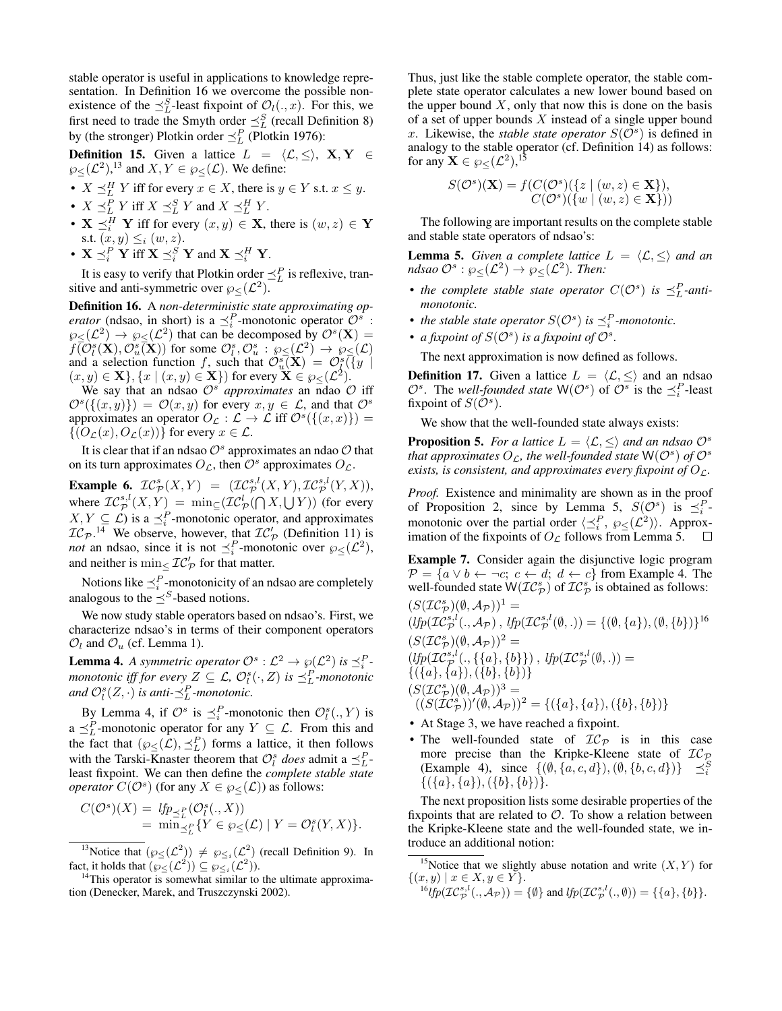stable operator is useful in applications to knowledge representation. In Definition [16](#page-6-0) we overcome the possible nonexistence of the  $\preceq_L^S$ -least fixpoint of  $\mathcal{O}_l(.,x)$ . For this, we first need to trade the Smyth order  $\preceq^S_L$  (recall Definition [8\)](#page-2-5) by (the stronger) Plotkin order  $\preceq_L^P$  [\(Plotkin 1976\)](#page-9-22):

**Definition 15.** Given a lattice  $L = \langle \mathcal{L}, \leq \rangle$ , X, Y ∈  $\wp_{\leq}(\mathcal{L}^2),^{13}$  $\wp_{\leq}(\mathcal{L}^2),^{13}$  $\wp_{\leq}(\mathcal{L}^2),^{13}$  and  $X, Y \in \wp_{\leq}(\mathcal{L})$ . We define:

- $X \preceq^H_L Y$  iff for every  $x \in X$ , there is  $y \in Y$  s.t.  $x \leq y$ .
- $X \preceq^P_L Y$  iff  $X \preceq^S_L Y$  and  $X \preceq^H_L Y$ .
- $X \preceq_i^H Y$  iff for every  $(x, y) \in X$ , there is  $(w, z) \in Y$ s.t.  $(x, y) \leq i (w, z)$ .
- $\mathbf{X} \preceq_i^P \mathbf{Y}$  iff  $\mathbf{X} \preceq_i^S \mathbf{Y}$  and  $\mathbf{X} \preceq_i^H \mathbf{Y}$ .

It is easy to verify that Plotkin order  $\preceq_L^P$  is reflexive, transitive and anti-symmetric over  $\wp_{\leq}(\mathcal{L}^2)$ .

<span id="page-6-0"></span>Definition 16. A *non-deterministic state approximating operator* (ndsao, in short) is a  $\leq_i^P$ -monotonic operator  $\mathcal{O}^s$ :  $\wp_{\leq}(\mathcal{L}^2) \to \wp_{\leq}(\mathcal{L}^2)$  that can be decomposed by  $\mathcal{O}^s(\mathbf{X}) =$  $f(\hat{O}_{l}^{s}(\mathbf{X}), \hat{O}_{u}^{s}(\mathbf{X}))$  for some  $\hat{O}_{l}^{s}, \hat{O}_{u}^{s} : \wp_{\leq}(\mathcal{L}^{2}) \to \wp_{\leq}(\mathcal{L})$ and a selection function f, such that  $\mathcal{O}_{u}^{s}(\mathbf{X}) = \mathcal{O}_{l}^{s}(\overline{\{y\}})$  $(x, y) \in \mathbf{X}$ ,  $\{x \mid (x, y) \in \mathbf{X}\}\)$  for every  $\mathbf{X} \in \wp_{\leq}(\mathcal{L}^2)$ .

We say that an ndsao  $\mathcal{O}^s$  *approximates* an ndao  $\mathcal O$  iff  $\mathcal{O}^{s}(\{(x,y)\}) = \mathcal{O}(x,y)$  for every  $x, y \in \mathcal{L}$ , and that  $\mathcal{O}^{s}$ approximates an operator  $O_{\mathcal{L}} : \mathcal{L} \to \mathcal{L}$  iff  $\mathcal{O}^s(\{(x, x)\}) =$  $\{(O_{\mathcal{L}}(x), O_{\mathcal{L}}(x))\}\$ for every  $x \in \mathcal{L}$ .

It is clear that if an ndsao  $\mathcal{O}^s$  approximates an ndao  $\mathcal O$  that on its turn approximates  $O_{\mathcal{L}}$ , then  $\mathcal{O}^s$  approximates  $O_{\mathcal{L}}$ .

**Example 6.**  $IC_{\mathcal{P}}^{s}(X,Y) = (\mathcal{IC}_{\mathcal{P}}^{s,l}(X,Y), \mathcal{IC}_{\mathcal{P}}^{s,l}(Y,X)),$ where  $\mathcal{IC}_{\mathcal{P}}^{s,l}(X,Y) = \min_{\subseteq} (\mathcal{IC}_{\mathcal{P}}^l(\bigcap X, \bigcup Y))$  (for every  $X, Y \subseteq \mathcal{L}$ ) is a  $\preceq_i^P$ -monotonic operator, and approximates  $IC_{\mathcal{P}}$ .<sup>[14](#page-6-2)</sup> We observe, however, that  $IC'_{\mathcal{P}}$  (Definition [11\)](#page-4-2) is *not* an ndsao, since it is not  $\preceq_i^P$ -monotonic over  $\wp_{\leq}(\mathcal{L}^2)$ , and neither is  $\min_{\leq} \mathcal{IC}'_{\mathcal{P}}$  for that matter.

Notions like  $\preceq_i^P$ -monotonicity of an ndsao are completely analogous to the  $\preceq^{S}$ -based notions.

We now study stable operators based on ndsao's. First, we characterize ndsao's in terms of their component operators  $\mathcal{O}_l$  and  $\mathcal{O}_u$  (cf. Lemma [1\)](#page-3-6).

<span id="page-6-3"></span>**Lemma 4.** A symmetric operator  $\mathcal{O}^s : \mathcal{L}^2 \to \wp(\mathcal{L}^2)$  is  $\preceq_i^P$ . *monotonic iff for every*  $Z \subseteq \mathcal{L}$ ,  $\mathcal{O}_l^s(\cdot, Z)$  *is*  $\preceq_L^P$ -monotonic and  $\mathcal{O}_l^s(Z, \cdot)$  *is anti*- $\preceq_L^P$ -monotonic.

By Lemma [4,](#page-6-3) if  $\mathcal{O}^s$  is  $\preceq_i^P$ -monotonic then  $\mathcal{O}_i^s(., Y)$  is a  $\preceq_L^P$ -monotonic operator for any  $Y \subseteq \mathcal{L}$ . From this and the fact that  $(\wp_{\leq}(\mathcal{L}), \preceq^P_L)$  forms a lattice, it then follows with the Tarski-Knaster theorem that  $\mathcal{O}_l^s$  does admit a  $\preceq_L^P$ least fixpoint. We can then define the *complete stable state operator*  $C(\mathcal{O}^s)$  (for any  $X \in \wp_{\leq}(\mathcal{L})$ ) as follows:

$$
C(\mathcal{O}^s)(X) = \mathit{lfp}_{\preceq^P_L}(\mathcal{O}_l^s(., X))
$$
  
= 
$$
\min_{\preceq^P_L} \{ Y \in \wp_{\leq}(\mathcal{L}) \mid Y = \mathcal{O}_l^s(Y, X) \}.
$$

<span id="page-6-1"></span><sup>13</sup>Notice that  $(\wp_{\leq}(\mathcal{L}^2)) \neq \wp_{\leq i}(\mathcal{L}^2)$  (recall Definition [9\)](#page-2-6). In fact, it holds that  $(\wp_{\leq}(\mathcal{L}^2)) \subseteq \wp_{\leq i}(\mathcal{L}^2)$ .

Thus, just like the stable complete operator, the stable complete state operator calculates a new lower bound based on the upper bound  $X$ , only that now this is done on the basis of a set of upper bounds  $X$  instead of a single upper bound x. Likewise, the *stable state operator*  $S(\overline{O})^s$  is defined in analogy to the stable operator (cf. Definition [14\)](#page-5-3) as follows: for any  $\mathbf{X} \in \wp_{\leq}(\mathcal{L}^2),^{15}$  $\mathbf{X} \in \wp_{\leq}(\mathcal{L}^2),^{15}$  $\mathbf{X} \in \wp_{\leq}(\mathcal{L}^2),^{15}$ 

$$
S(\mathcal{O}^s)(\mathbf{X}) = f(C(\mathcal{O}^s)(\{z \mid (w, z) \in \mathbf{X}\}),
$$
  
 
$$
C(\mathcal{O}^s)(\{w \mid (w, z) \in \mathbf{X}\}))
$$

The following are important results on the complete stable and stable state operators of ndsao's:

<span id="page-6-5"></span>**Lemma 5.** *Given a complete lattice*  $L = \langle \mathcal{L}, \leq \rangle$  *and an*  $ndsao \mathcal{O}^s : \wp_{\leq}(\mathcal{L}^2) \to \wp_{\leq}(\mathcal{L}^2)$ . Then:

- *the complete stable state operator*  $C(\mathcal{O}^s)$  *is*  $\preceq_L^P$ -anti*monotonic.*
- the stable state operator  $S(\mathcal{O}^s)$  is  $\preceq_i^P$ -monotonic.
- *a fixpoint of*  $S(\mathcal{O}^s)$  *is a fixpoint of*  $\mathcal{O}^s$ *.*

The next approximation is now defined as follows.

**Definition 17.** Given a lattice  $L = \langle \mathcal{L}, \leq \rangle$  and an ndsao  $\mathcal{O}^s$ . The *well-founded state*  $W(\mathcal{O}^s)$  of  $\mathcal{O}^s$  is the  $\preceq_i^P$ -least fixpoint of  $S(\mathcal{O}^s)$ .

We show that the well-founded state always exists:

<span id="page-6-7"></span>**Proposition 5.** *For a lattice*  $L = \langle \mathcal{L}, \leq \rangle$  *and an ndsao*  $\mathcal{O}^s$ that approximates  $O_\mathcal{L}$ , the well-founded state  $\mathsf{W}(\mathcal{O}^s)$  of  $\mathcal{O}^s$ *exists, is consistent, and approximates every fixpoint of*  $O<sub>L</sub>$ *.* 

*Proof.* Existence and minimality are shown as in the proof of Proposition [2,](#page-4-1) since by Lemma [5,](#page-6-5)  $S(\mathcal{O}^s)$  is  $\preceq_i^P$ monotonic over the partial order  $\langle \preceq_i^P, \wp \leq (\mathcal{L}^2) \rangle$ . Approximation of the fixpoints of  $O<sub>L</sub>$  follows from Lemma [5.](#page-6-5)  $\Box$ 

Example 7. Consider again the disjunctive logic program  $\mathcal{P} = \{a \lor b \leftarrow \neg c; \ c \leftarrow d; \ d \leftarrow c\}$  from Example [4.](#page-4-5) The well-founded state  $W(\mathcal{IC}_{\mathcal{P}}^s)$  of  $\mathcal{IC}_{\mathcal{P}}^s$  is obtained as follows:

$$
(S(\mathcal{IC}_{\mathcal{P}}^{s})(\emptyset, \mathcal{A}_{\mathcal{P}}))^{1} =
$$
  
\n
$$
(lfp(\mathcal{IC}_{\mathcal{P}}^{s,l}(., \mathcal{A}_{\mathcal{P}}), lfp(\mathcal{IC}_{\mathcal{P}}^{s,l}(\emptyset, .)) = \{(\emptyset, \{a\}), (\emptyset, \{b\})\}^{16}
$$
  
\n
$$
(S(\mathcal{IC}_{\mathcal{P}}^{s})(\emptyset, \mathcal{A}_{\mathcal{P}}))^{2} =
$$
  
\n
$$
(lfp(\mathcal{IC}_{\mathcal{P}}^{s,l}(., \{\{a\}, \{b\}\}), lfp(\mathcal{IC}_{\mathcal{P}}^{s,l}(\emptyset, .)) =
$$
  
\n
$$
\{(\{a\}, \{a\}), (\{b\}, \{b\})\}
$$
  
\n
$$
(S(\mathcal{IC}_{\mathcal{P}}^{s})(\emptyset, \mathcal{A}_{\mathcal{P}}))^{3} =
$$
  
\n
$$
((S(\mathcal{IC}_{\mathcal{P}}^{s}))'(\emptyset, \mathcal{A}_{\mathcal{P}}))^{2} = \{(\{a\}, \{a\}), (\{b\}, \{b\})\}
$$

- At Stage 3, we have reached a fixpoint.
- The well-founded state of  $IC_{\mathcal{P}}$  is in this case more precise than the Kripke-Kleene state of  $IC_{\mathcal{P}}$ (Example [4\)](#page-4-5), since  $\{(\emptyset, \{a, c, d\}), (\emptyset, \{b, c, d\})\} \preceq_{i}^{S}$  $\{(\{a\},\{a\}),(\{b\},\{b\})\}.$

The next proposition lists some desirable properties of the fixpoints that are related to  $\mathcal{O}$ . To show a relation between the Kripke-Kleene state and the well-founded state, we introduce an additional notion:

<span id="page-6-4"></span><sup>15</sup>Notice that we slightly abuse notation and write  $(X, Y)$  for  $\{(x, y) \mid x \in X, y \in Y\}.$ 

<span id="page-6-6"></span> ${}^{16}lfp(\mathcal{IC}_{\mathcal{P}}^{s,l}(., \mathcal{A}_{\mathcal{P}})) = {\emptyset} \text{ and } lp(\mathcal{IC}_{\mathcal{P}}^{s,l}(., \emptyset)) = {\{a\},\{b\}}.$ 

<span id="page-6-2"></span> $14$ This operator is somewhat similar to the ultimate approximation [\(Denecker, Marek, and Truszczynski 2002\)](#page-9-23).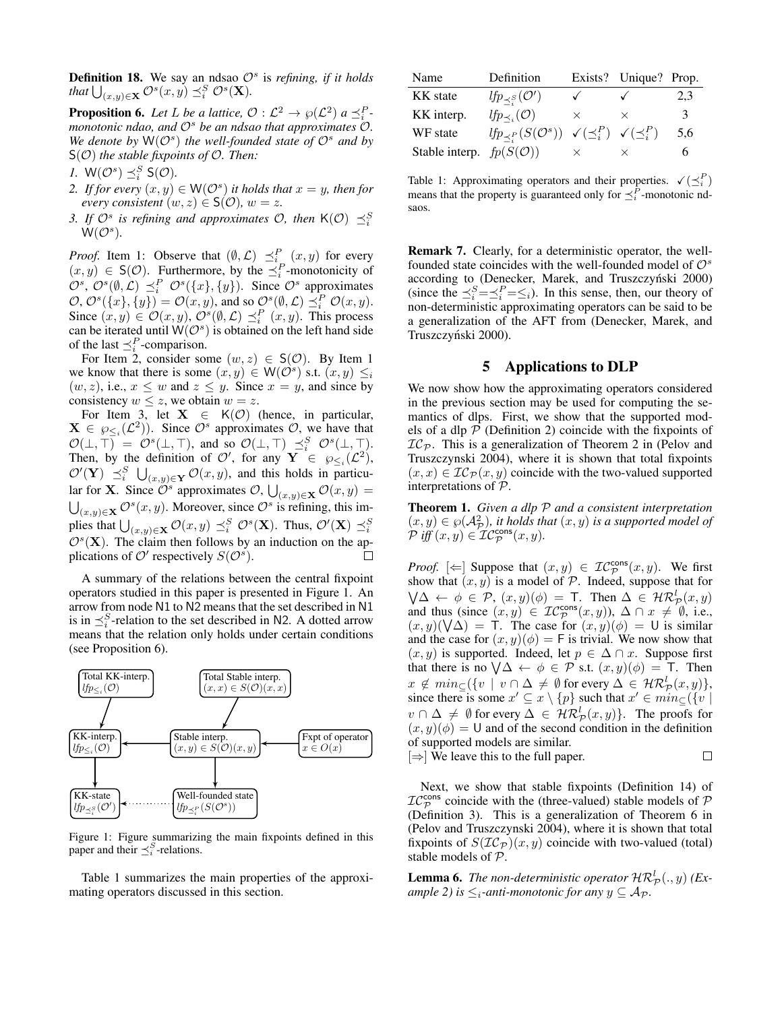**Definition 18.** We say an ndsao  $\mathcal{O}^s$  is *refining, if it holds* that  $\bigcup_{(x,y)\in\mathbf{X}}\mathcal{O}^s(x,y)\preceq_i^S\mathcal{O}^s(\mathbf{X})$ .

<span id="page-7-2"></span>**Proposition 6.** Let L be a lattice,  $\mathcal{O}: L^2 \to \wp(L^2)$  a  $\preceq_i^P$ . *monotonic ndao, and* O<sup>s</sup> *be an ndsao that approximates* O*.* We denote by  $W(\mathcal{O}^s)$  the well-founded state of  $\mathcal{O}^s$  and by S(O) *the stable fixpoints of* O*. Then:*

*1.*  $W(\mathcal{O}^s) \preceq_i^S S(\mathcal{O})$ *.* 

2. If for every  $(x, y) \in W(\mathcal{O}^s)$  *it holds that*  $x = y$ *, then for every consistent*  $(w, z) \in S(\mathcal{O})$ *,*  $w = z$ *.* 

*3. If*  $\mathcal{O}^s$  is refining and approximates  $\mathcal{O}$ , then  $K(\mathcal{O}) \preceq_i^S$  $\mathsf{W}(\mathcal{O}^s).$ 

*Proof.* Item 1: Observe that  $(\emptyset, \mathcal{L}) \preceq_{i_{\infty}}^{P} (x, y)$  for every  $(x, y) \in S(\mathcal{O})$ . Furthermore, by the  $\preceq_i^P$ -monotonicity of  $\mathcal{O}^s$ ,  $\mathcal{O}^s(\emptyset, \mathcal{L}) \preceq_i^P \mathcal{O}^s(\lbrace x \rbrace, \lbrace y \rbrace)$ . Since  $\mathcal{O}^s$  approximates  $\mathcal{O}, \mathcal{O}^s(\lbrace x \rbrace, \lbrace y \rbrace) = \mathcal{O}(x, y)$ , and so  $\mathcal{O}^s(\emptyset, \mathcal{L}) \preceq_i^P \mathcal{O}(x, y)$ . Since  $(x, y) \in \mathcal{O}(x, y)$ ,  $\mathcal{O}^s(\emptyset, \mathcal{L}) \preceq_i^P (x, y)$ . This process can be iterated until  $W(\mathcal{O}^s)$  is obtained on the left hand side of the last  $\preceq_i^P$ -comparison.

For Item 2, consider some  $(w, z) \in S(\mathcal{O})$ . By Item 1 we know that there is some  $(x, y) \in W(\mathcal{O}^s)$  s.t.  $(x, y) \leq i$  $(w, z)$ , i.e.,  $x \leq w$  and  $z \leq y$ . Since  $x = y$ , and since by consistency  $w \leq z$ , we obtain  $w = z$ .

For Item 3, let  $X \in K(\mathcal{O})$  (hence, in particular,  $X \in \wp_{\leq i}(\mathcal{L}^2)$ . Since  $\mathcal{O}^s$  approximates  $\mathcal{O}$ , we have that  $\mathcal{O}(\bot, \top) = \mathcal{O}^s(\bot, \top)$ , and so  $\mathcal{O}(\bot, \top) \preceq_i^S \mathcal{O}^s(\bot, \top)$ . Then, by the definition of  $\mathcal{O}'$ , for any  $\mathbf{Y} \in \mathcal{O}_{\leq i}(\mathcal{L}^2)$ ,  $\mathcal{O}'(\mathbf{Y}) \preceq_i^S \bigcup_{(x,y)\in\mathbf{Y}} \mathcal{O}(x,y)$ , and this holds in particular for **X**. Since  $\tilde{\mathcal{O}}^s$  approximates  $\mathcal{O}, \bigcup_{(x,y)\in\mathbf{X}} \mathcal{O}(x,y) =$  $\bigcup_{(x,y)\in\mathbf{X}}\mathcal{O}^s(x,y)$ . Moreover, since  $\mathcal{O}^s$  is refining, this implies that  $\bigcup_{(x,y)\in\mathbf{X}}\mathcal{O}(x,y)\preceq_i^S\mathcal{O}^s(\mathbf{X})$ . Thus,  $\mathcal{O}'(\mathbf{X})\preceq_i^S$  $\mathcal{O}^s(\mathbf{X})$ . The claim then follows by an induction on the applications of  $\mathcal{O}'$  respectively  $S(\mathcal{O}^s)$ .

A summary of the relations between the central fixpoint operators studied in this paper is presented in Figure [1.](#page-7-1) An arrow from node N1 to N2 means that the set described in N1 is in  $\preceq_i^S$ -relation to the set described in N2. A dotted arrow means that the relation only holds under certain conditions (see Proposition [6\)](#page-7-2).

<span id="page-7-1"></span>

Figure 1: Figure summarizing the main fixpoints defined in this paper and their  $\preceq_i^S$ -relations.

Table [1](#page-7-3) summarizes the main properties of the approximating operators discussed in this section.

<span id="page-7-3"></span>

| Name                                | Definition                                                                          |              | Exists? Unique? Prop. |     |
|-------------------------------------|-------------------------------------------------------------------------------------|--------------|-----------------------|-----|
| <b>KK</b> state                     | $lfp_{\preceq^S_i}(\mathcal{O}')$                                                   | $\checkmark$ | $\checkmark$          | 2,3 |
| KK interp.                          | $lfp_{\prec_i}(\mathcal{O})$                                                        | $\times$     | X                     | 3   |
| WF state                            | $lfp_{\prec P}(S(\mathcal{O}^s)) \checkmark (\preceq_i^P) \checkmark (\preceq_i^P)$ |              |                       | 5,6 |
| Stable interp. $fp(S(\mathcal{O}))$ |                                                                                     | ×            | ×                     | h   |

Table 1: Approximating operators and their properties.  $\checkmark(\preceq_i^P)$ means that the property is guaranteed only for  $\preceq_i^P$ -monotonic ndsaos.

<span id="page-7-5"></span>Remark 7. Clearly, for a deterministic operator, the wellfounded state coincides with the well-founded model of  $\mathcal{O}^s$ according to (Denecker, Marek, and Truszczyński 2000) (since the  $\preceq_i^S = \preceq_i^P = \le_i$ ). In this sense, then, our theory of non-deterministic approximating operators can be said to be a generalization of the AFT from [\(Denecker, Marek, and](#page-9-7) Truszczyński 2000).

#### 5 Applications to DLP

<span id="page-7-0"></span>We now show how the approximating operators considered in the previous section may be used for computing the semantics of dlps. First, we show that the supported models of a dlp  $P$  (Definition [2\)](#page-1-9) coincide with the fixpoints of  $IC_{\mathcal{P}}$ . This is a generalization of Theorem 2 in [\(Pelov and](#page-9-13) [Truszczynski 2004\)](#page-9-13), where it is shown that total fixpoints  $(x, x) \in \mathcal{IC}_{\mathcal{P}}(x, y)$  coincide with the two-valued supported interpretations of P.

<span id="page-7-4"></span>Theorem 1. *Given a dlp* P *and a consistent interpretation*  $(x, y) \in \wp(\mathcal{A}_{\mathcal{P}}^2)$ , *it holds that*  $(x, y)$  *is a supported model of*  $\mathcal{P}$  *iff*  $(x, y) \in \mathcal{IC}_{\mathcal{P}}^{\text{cons}}(x, y)$ .

*Proof.*  $[\Leftarrow]$  Suppose that  $(x, y) \in \mathcal{IC}_{\mathcal{P}}^{\text{cons}}(x, y)$ . We first show that  $(x, y)$  is a model of  $P$ . Indeed, suppose that for  $\bigvee \Delta \leftarrow \phi \in \mathcal{P}, (x, y) (\phi) = \textsf{T}.$  Then  $\Delta \in \mathcal{HR}_{\mathcal{P}}^{l}(x, y)$ and thus (since  $(x, y) \in \mathcal{IC}_{\mathcal{P}}^{\text{cons}}(x, y)$ ),  $\Delta \cap x \neq \emptyset$ , i.e.,  $(x, y)(\sqrt{\Delta}) =$  T. The case for  $(x, y)(\phi) =$  U is similar and the case for  $(x, y)(\phi) = F$  is trivial. We now show that  $(x, y)$  is supported. Indeed, let  $p \in \Delta \cap x$ . Suppose first that there is no  $\bigvee \Delta \leftarrow \phi \in \mathcal{P}$  s.t.  $(x, y)(\phi) = \top$ . Then  $x \notin min_{\subseteq} (\{v \mid v \cap \Delta \neq \emptyset \text{ for every } \Delta \in \mathcal{HR}_{\mathcal{P}}^l(x, y) \},$ since there is some  $x' \subseteq x \setminus \{p\}$  such that  $x' \in min_{\subseteq}(\{v \mid$  $v \cap \Delta \neq \emptyset$  for every  $\Delta \in \mathcal{HR}_{\mathcal{P}}^l(x, y)$ . The proofs for  $(x, y)(\phi) = U$  and of the second condition in the definition of supported models are similar.  $[\Rightarrow]$  We leave this to the full paper.  $\Box$ 

Next, we show that stable fixpoints (Definition [14\)](#page-5-3) of  $IC_{\mathcal{P}}^{\text{cons}}$  coincide with the (three-valued) stable models of  $\mathcal P$ (Definition [3\)](#page-1-10). This is a generalization of Theorem 6 in [\(Pelov and Truszczynski 2004\)](#page-9-13), where it is shown that total fixpoints of  $S(\mathcal{IC}_{\mathcal{P}})(x, y)$  coincide with two-valued (total) stable models of P.

**Lemma 6.** The non-deterministic operator  $\mathcal{HR}_{\mathcal{P}}^{l}(.,y)$  (Ex*ample* [2\)](#page-3-5) *is*  $\leq_i$ *-anti-monotonic for any*  $y \subseteq A_{\mathcal{P}}$ *.*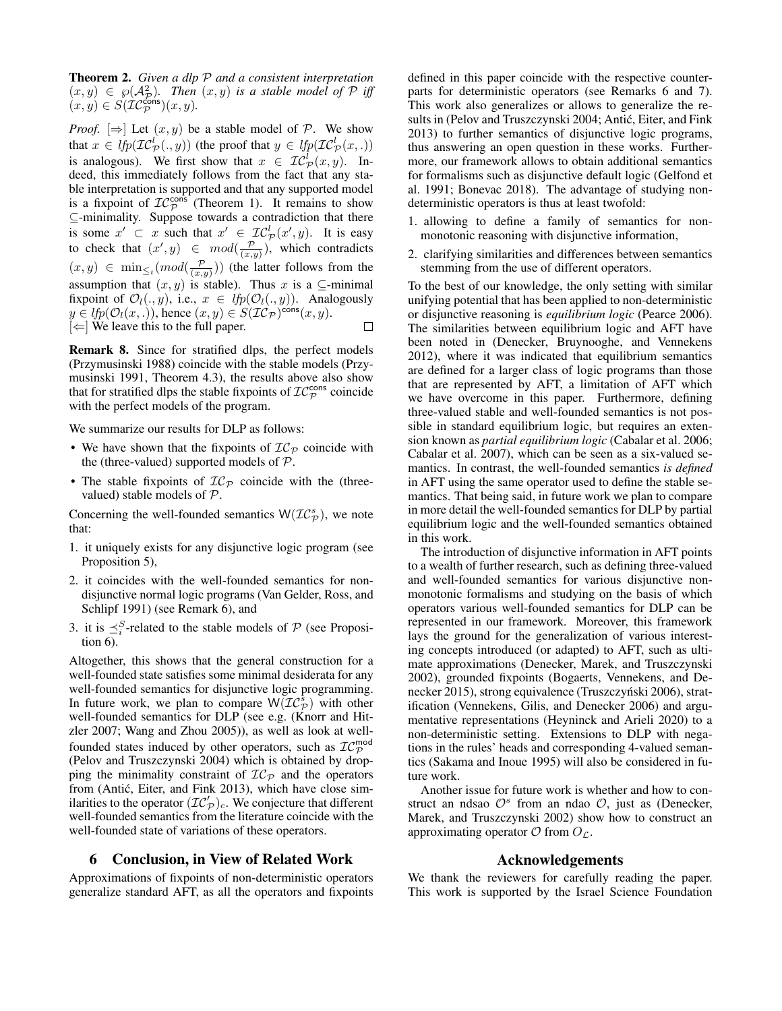Theorem 2. *Given a dlp* P *and a consistent interpretation*  $(x, y) \in \wp(A_\mathcal{P}^2)$ . Then  $(x, y)$  is a stable model of P iff  $(x, y) \in S(\mathcal{IC}_{\mathcal{P}}^{\mathsf{Cons}})(x, y).$ 

*Proof.*  $[\Rightarrow]$  Let  $(x, y)$  be a stable model of P. We show that  $x \in \text{lrp}(\mathcal{IC}_{\mathcal{P}}^l(.,y))$  (the proof that  $y \in \text{lrp}(\mathcal{IC}_{\mathcal{P}}^l(x,.))$ is analogous). We first show that  $x \in \mathcal{IC}_{\mathcal{P}}^l(x, y)$ . Indeed, this immediately follows from the fact that any stable interpretation is supported and that any supported model is a fixpoint of  $IC_{\mathcal{P}}^{\text{cons}^{\star}}$  (Theorem [1\)](#page-7-4). It remains to show ⊆-minimality. Suppose towards a contradiction that there is some  $x' \subset x$  such that  $x' \in \mathcal{IC}_{\mathcal{P}}^l(x', y)$ . It is easy to check that  $(x', y) \in mod(\frac{p}{(x, y)})$ , which contradicts  $(x, y) \in \min_{\leq t} (mod(\frac{p}{(x, y)}))$  (the latter follows from the assumption that  $(x, y)$  is stable). Thus x is a ⊆-minimal fixpoint of  $\mathcal{O}_l(.,y)$ , i.e.,  $x \in lfp(\mathcal{O}_l(.,y))$ . Analogously  $y \in lfp(\mathcal{O}_l(x,.))$ , hence  $(x, y) \in S(\mathcal{IC}_{\mathcal{P}})^{\text{cons}}(x, y)$ .  $\Box$  $|\Leftarrow|$  We leave this to the full paper.

Remark 8. Since for stratified dlps, the perfect models [\(Przymusinski 1988\)](#page-9-24) coincide with the stable models [\(Przy](#page-10-5)[musinski 1991,](#page-10-5) Theorem 4.3), the results above also show that for stratified dlps the stable fixpoints of  $\mathcal{IC}_{\mathcal{P}}^{\mathsf{cons}}$  coincide with the perfect models of the program.

We summarize our results for DLP as follows:

- We have shown that the fixpoints of  $IC_{\mathcal{P}}$  coincide with the (three-valued) supported models of  $P$ .
- The stable fixpoints of  $IC_{\mathcal{P}}$  coincide with the (threevalued) stable models of P.

Concerning the well-founded semantics  $W(\mathcal{IC}_{\mathcal{P}}^{s})$ , we note that:

- 1. it uniquely exists for any disjunctive logic program (see Proposition [5\)](#page-6-7),
- 2. it coincides with the well-founded semantics for nondisjunctive normal logic programs [\(Van Gelder, Ross, and](#page-10-3) [Schlipf 1991\)](#page-10-3) (see Remark [6\)](#page-5-5), and
- 3. it is  $\preceq_i^S$ -related to the stable models of  $P$  (see Proposition [6\)](#page-7-2).

Altogether, this shows that the general construction for a well-founded state satisfies some minimal desiderata for any well-founded semantics for disjunctive logic programming. In future work, we plan to compare  $W(\mathcal{IC}_{\mathcal{P}}^s)$  with other well-founded semantics for DLP (see e.g. [\(Knorr and Hit](#page-9-25)[zler 2007;](#page-9-25) [Wang and Zhou 2005\)](#page-10-6)), as well as look at wellfounded states induced by other operators, such as  $\mathcal{IC}_{\mathcal{P}}^{\mathsf{mod}}$ [\(Pelov and Truszczynski 2004\)](#page-9-13) which is obtained by dropping the minimality constraint of  $IC_{\mathcal{P}}$  and the operators from (Antić, Eiter, and Fink 2013), which have close similarities to the operator  $(\mathcal{IC}'_{\mathcal{P}})_{c}$ . We conjecture that different well-founded semantics from the literature coincide with the well-founded state of variations of these operators.

# <span id="page-8-0"></span>6 Conclusion, in View of Related Work

Approximations of fixpoints of non-deterministic operators generalize standard AFT, as all the operators and fixpoints defined in this paper coincide with the respective counterparts for deterministic operators (see Remarks [6](#page-5-5) and [7\)](#page-7-5). This work also generalizes or allows to generalize the results in [\(Pelov and Truszczynski 2004;](#page-9-13) [Antic, Eiter, and Fink](#page-9-10) ´ [2013\)](#page-9-10) to further semantics of disjunctive logic programs, thus answering an open question in these works. Furthermore, our framework allows to obtain additional semantics for formalisms such as disjunctive default logic [\(Gelfond et](#page-9-6) [al. 1991;](#page-9-6) [Bonevac 2018\)](#page-9-5). The advantage of studying nondeterministic operators is thus at least twofold:

- 1. allowing to define a family of semantics for nonmonotonic reasoning with disjunctive information,
- 2. clarifying similarities and differences between semantics stemming from the use of different operators.

To the best of our knowledge, the only setting with similar unifying potential that has been applied to non-deterministic or disjunctive reasoning is *equilibrium logic* [\(Pearce 2006\)](#page-9-26). The similarities between equilibrium logic and AFT have been noted in [\(Denecker, Bruynooghe, and Vennekens](#page-9-27) [2012\)](#page-9-27), where it was indicated that equilibrium semantics are defined for a larger class of logic programs than those that are represented by AFT, a limitation of AFT which we have overcome in this paper. Furthermore, defining three-valued stable and well-founded semantics is not possible in standard equilibrium logic, but requires an extension known as *partial equilibrium logic* [\(Cabalar et al. 2006;](#page-9-28) [Cabalar et al. 2007\)](#page-9-29), which can be seen as a six-valued semantics. In contrast, the well-founded semantics *is defined* in AFT using the same operator used to define the stable semantics. That being said, in future work we plan to compare in more detail the well-founded semantics for DLP by partial equilibrium logic and the well-founded semantics obtained in this work.

The introduction of disjunctive information in AFT points to a wealth of further research, such as defining three-valued and well-founded semantics for various disjunctive nonmonotonic formalisms and studying on the basis of which operators various well-founded semantics for DLP can be represented in our framework. Moreover, this framework lays the ground for the generalization of various interesting concepts introduced (or adapted) to AFT, such as ultimate approximations [\(Denecker, Marek, and Truszczynski](#page-9-23) [2002\)](#page-9-23), grounded fixpoints [\(Bogaerts, Vennekens, and De](#page-9-30)[necker 2015\)](#page-9-30), strong equivalence (Truszczyński 2006), stratification [\(Vennekens, Gilis, and Denecker 2006\)](#page-10-8) and argumentative representations [\(Heyninck and Arieli 2020\)](#page-9-31) to a non-deterministic setting. Extensions to DLP with negations in the rules' heads and corresponding 4-valued semantics [\(Sakama and Inoue 1995\)](#page-10-9) will also be considered in future work.

Another issue for future work is whether and how to construct an ndsao  $\mathcal{O}^s$  from an ndao  $\mathcal{O}$ , just as [\(Denecker,](#page-9-23) [Marek, and Truszczynski 2002\)](#page-9-23) show how to construct an approximating operator  $\mathcal O$  from  $O_{\mathcal L}$ .

# Acknowledgements

We thank the reviewers for carefully reading the paper. This work is supported by the Israel Science Foundation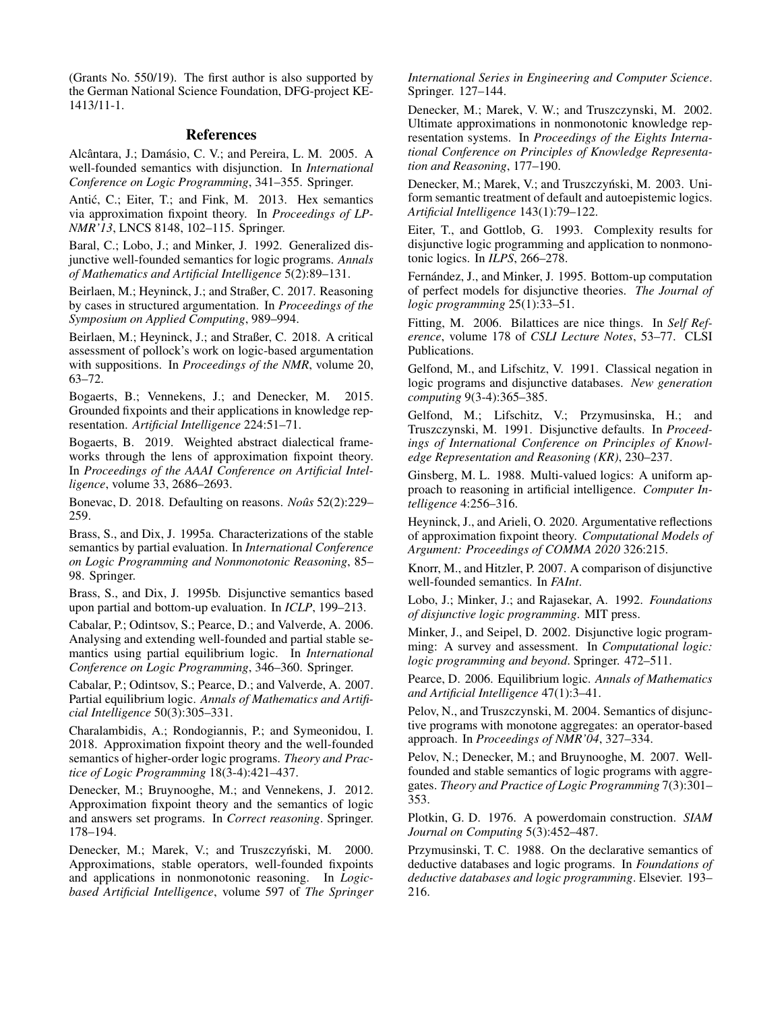(Grants No. 550/19). The first author is also supported by the German National Science Foundation, DFG-project KE-1413/11-1.

#### References

<span id="page-9-19"></span>Alcântara, J.; Damásio, C. V.; and Pereira, L. M. 2005. A well-founded semantics with disjunction. In *International Conference on Logic Programming*, 341–355. Springer.

<span id="page-9-10"></span>Antić, C.; Eiter, T.; and Fink, M. 2013. Hex semantics via approximation fixpoint theory. In *Proceedings of LP-NMR'13*, LNCS 8148, 102–115. Springer.

<span id="page-9-20"></span>Baral, C.; Lobo, J.; and Minker, J. 1992. Generalized disjunctive well-founded semantics for logic programs. *Annals of Mathematics and Artificial Intelligence* 5(2):89–131.

<span id="page-9-3"></span>Beirlaen, M.; Heyninck, J.; and Straßer, C. 2017. Reasoning by cases in structured argumentation. In *Proceedings of the Symposium on Applied Computing*, 989–994.

<span id="page-9-4"></span>Beirlaen, M.; Heyninck, J.; and Straßer, C. 2018. A critical assessment of pollock's work on logic-based argumentation with suppositions. In *Proceedings of the NMR*, volume 20, 63–72.

<span id="page-9-30"></span>Bogaerts, B.; Vennekens, J.; and Denecker, M. 2015. Grounded fixpoints and their applications in knowledge representation. *Artificial Intelligence* 224:51–71.

<span id="page-9-12"></span>Bogaerts, B. 2019. Weighted abstract dialectical frameworks through the lens of approximation fixpoint theory. In *Proceedings of the AAAI Conference on Artificial Intelligence*, volume 33, 2686–2693.

<span id="page-9-5"></span>Bonevac, D. 2018. Defaulting on reasons. *Noûs* 52(2):229– 259.

<span id="page-9-17"></span>Brass, S., and Dix, J. 1995a. Characterizations of the stable semantics by partial evaluation. In *International Conference on Logic Programming and Nonmonotonic Reasoning*, 85– 98. Springer.

<span id="page-9-21"></span>Brass, S., and Dix, J. 1995b. Disjunctive semantics based upon partial and bottom-up evaluation. In *ICLP*, 199–213.

<span id="page-9-28"></span>Cabalar, P.; Odintsov, S.; Pearce, D.; and Valverde, A. 2006. Analysing and extending well-founded and partial stable semantics using partial equilibrium logic. In *International Conference on Logic Programming*, 346–360. Springer.

<span id="page-9-29"></span>Cabalar, P.; Odintsov, S.; Pearce, D.; and Valverde, A. 2007. Partial equilibrium logic. *Annals of Mathematics and Artificial Intelligence* 50(3):305–331.

<span id="page-9-11"></span>Charalambidis, A.; Rondogiannis, P.; and Symeonidou, I. 2018. Approximation fixpoint theory and the well-founded semantics of higher-order logic programs. *Theory and Practice of Logic Programming* 18(3-4):421–437.

<span id="page-9-27"></span>Denecker, M.; Bruynooghe, M.; and Vennekens, J. 2012. Approximation fixpoint theory and the semantics of logic and answers set programs. In *Correct reasoning*. Springer. 178–194.

<span id="page-9-7"></span>Denecker, M.; Marek, V.; and Truszczyński, M. 2000. Approximations, stable operators, well-founded fixpoints and applications in nonmonotonic reasoning. In *Logicbased Artificial Intelligence*, volume 597 of *The Springer*

*International Series in Engineering and Computer Science*. Springer. 127–144.

<span id="page-9-23"></span>Denecker, M.; Marek, V. W.; and Truszczynski, M. 2002. Ultimate approximations in nonmonotonic knowledge representation systems. In *Proceedings of the Eights International Conference on Principles of Knowledge Representation and Reasoning*, 177–190.

<span id="page-9-8"></span>Denecker, M.; Marek, V.; and Truszczyński, M. 2003. Uniform semantic treatment of default and autoepistemic logics. *Artificial Intelligence* 143(1):79–122.

<span id="page-9-0"></span>Eiter, T., and Gottlob, G. 1993. Complexity results for disjunctive logic programming and application to nonmonotonic logics. In *ILPS*, 266–278.

<span id="page-9-18"></span>Fernández, J., and Minker, J. 1995. Bottom-up computation of perfect models for disjunctive theories. *The Journal of logic programming* 25(1):33–51.

<span id="page-9-16"></span>Fitting, M. 2006. Bilattices are nice things. In *Self Reference*, volume 178 of *CSLI Lecture Notes*, 53–77. CLSI Publications.

<span id="page-9-14"></span>Gelfond, M., and Lifschitz, V. 1991. Classical negation in logic programs and disjunctive databases. *New generation computing* 9(3-4):365–385.

<span id="page-9-6"></span>Gelfond, M.; Lifschitz, V.; Przymusinska, H.; and Truszczynski, M. 1991. Disjunctive defaults. In *Proceedings of International Conference on Principles of Knowledge Representation and Reasoning (KR)*, 230–237.

<span id="page-9-15"></span>Ginsberg, M. L. 1988. Multi-valued logics: A uniform approach to reasoning in artificial intelligence. *Computer Intelligence* 4:256–316.

<span id="page-9-31"></span>Heyninck, J., and Arieli, O. 2020. Argumentative reflections of approximation fixpoint theory. *Computational Models of Argument: Proceedings of COMMA 2020* 326:215.

<span id="page-9-25"></span>Knorr, M., and Hitzler, P. 2007. A comparison of disjunctive well-founded semantics. In *FAInt*.

<span id="page-9-1"></span>Lobo, J.; Minker, J.; and Rajasekar, A. 1992. *Foundations of disjunctive logic programming*. MIT press.

<span id="page-9-2"></span>Minker, J., and Seipel, D. 2002. Disjunctive logic programming: A survey and assessment. In *Computational logic: logic programming and beyond*. Springer. 472–511.

<span id="page-9-26"></span>Pearce, D. 2006. Equilibrium logic. *Annals of Mathematics and Artificial Intelligence* 47(1):3–41.

<span id="page-9-13"></span>Pelov, N., and Truszczynski, M. 2004. Semantics of disjunctive programs with monotone aggregates: an operator-based approach. In *Proceedings of NMR'04*, 327–334.

<span id="page-9-9"></span>Pelov, N.; Denecker, M.; and Bruynooghe, M. 2007. Wellfounded and stable semantics of logic programs with aggregates. *Theory and Practice of Logic Programming* 7(3):301– 353.

<span id="page-9-22"></span>Plotkin, G. D. 1976. A powerdomain construction. *SIAM Journal on Computing* 5(3):452–487.

<span id="page-9-24"></span>Przymusinski, T. C. 1988. On the declarative semantics of deductive databases and logic programs. In *Foundations of deductive databases and logic programming*. Elsevier. 193– 216.